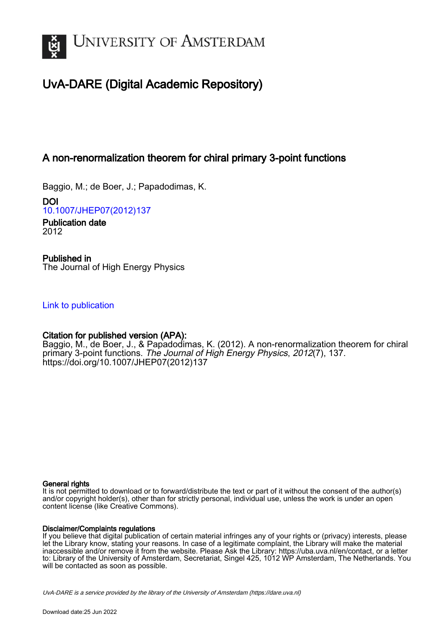

# UvA-DARE (Digital Academic Repository)

# A non-renormalization theorem for chiral primary 3-point functions

Baggio, M.; de Boer, J.; Papadodimas, K.

DOI [10.1007/JHEP07\(2012\)137](https://doi.org/10.1007/JHEP07(2012)137)

Publication date 2012

Published in The Journal of High Energy Physics

[Link to publication](https://dare.uva.nl/personal/pure/en/publications/a-nonrenormalization-theorem-for-chiral-primary-3point-functions(5fa35d86-fa5f-4588-b76a-6015083c8c54).html)

## Citation for published version (APA):

Baggio, M., de Boer, J., & Papadodimas, K. (2012). A non-renormalization theorem for chiral primary 3-point functions. The Journal of High Energy Physics, 2012(7), 137. [https://doi.org/10.1007/JHEP07\(2012\)137](https://doi.org/10.1007/JHEP07(2012)137)

#### General rights

It is not permitted to download or to forward/distribute the text or part of it without the consent of the author(s) and/or copyright holder(s), other than for strictly personal, individual use, unless the work is under an open content license (like Creative Commons).

#### Disclaimer/Complaints regulations

If you believe that digital publication of certain material infringes any of your rights or (privacy) interests, please let the Library know, stating your reasons. In case of a legitimate complaint, the Library will make the material inaccessible and/or remove it from the website. Please Ask the Library: https://uba.uva.nl/en/contact, or a letter to: Library of the University of Amsterdam, Secretariat, Singel 425, 1012 WP Amsterdam, The Netherlands. You will be contacted as soon as possible.

UvA-DARE is a service provided by the library of the University of Amsterdam (http*s*://dare.uva.nl)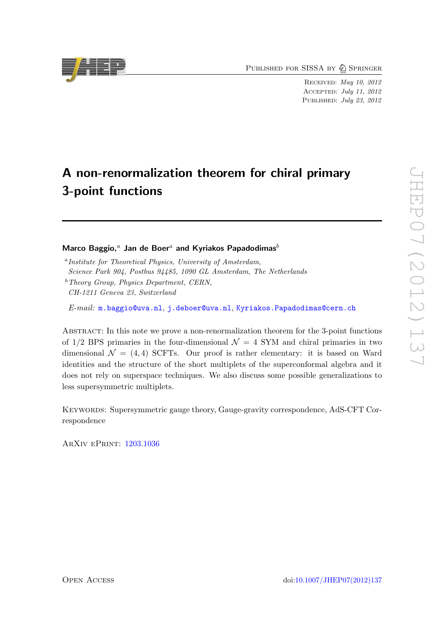PUBLISHED FOR SISSA BY 2 SPRINGER

Received: May 10, 2012 Accepted: July 11, 2012 PUBLISHED: July 23, 2012

# A non-renormalization theorem for chiral primary 3-point functions

#### Marco Baggio,<sup>*a*</sup> Jan de Boer<sup>*a*</sup> and Kyriakos Papadodimas<sup>*b*</sup>

<sup>a</sup> Institute for Theoretical Physics, University of Amsterdam, Science Park 904, Postbus 94485, 1090 GL Amsterdam, The Netherlands  $b$  Theory Group, Physics Department, CERN,

CH-1211 Geneva 23, Switzerland

E-mail: [m.baggio@uva.nl](mailto:m.baggio@uva.nl), [j.deboer@uva.nl](mailto:j.deboer@uva.nl), [Kyriakos.Papadodimas@cern.ch](mailto:Kyriakos.Papadodimas@cern.ch)

Abstract: In this note we prove a non-renormalization theorem for the 3-point functions of  $1/2$  BPS primaries in the four-dimensional  $\mathcal{N} = 4$  SYM and chiral primaries in two dimensional  $\mathcal{N} = (4, 4)$  SCFTs. Our proof is rather elementary: it is based on Ward identities and the structure of the short multiplets of the superconformal algebra and it does not rely on superspace techniques. We also discuss some possible generalizations to less supersymmetric multiplets.

KEYWORDS: Supersymmetric gauge theory, Gauge-gravity correspondence, AdS-CFT Correspondence

ArXiv ePrint: [1203.1036](http://arxiv.org/abs/1203.1036)

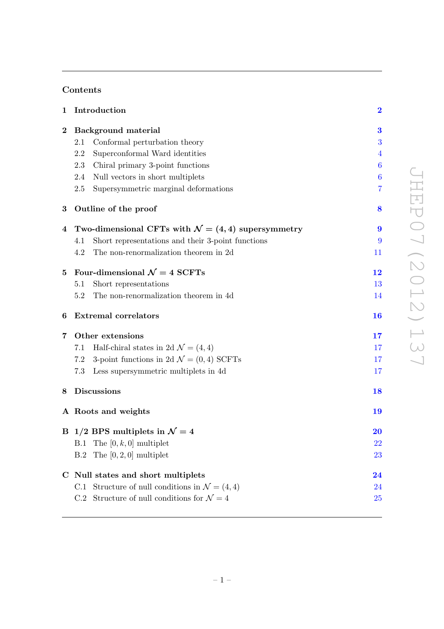# Contents

| 1        | Introduction                                                   | $\overline{\mathbf{2}}$ |
|----------|----------------------------------------------------------------|-------------------------|
| $\bf{2}$ | Background material                                            | 3                       |
|          | Conformal perturbation theory<br>2.1                           | 3                       |
|          | 2.2<br>Superconformal Ward identities                          | $\overline{4}$          |
|          | 2.3<br>Chiral primary 3-point functions                        | 6                       |
|          | 2.4<br>Null vectors in short multiplets                        | 6                       |
|          | 2.5<br>Supersymmetric marginal deformations                    | 7                       |
| $\bf{3}$ | Outline of the proof                                           | 8                       |
| 4        | Two-dimensional CFTs with $\mathcal{N} = (4, 4)$ supersymmetry | 9                       |
|          | Short representations and their 3-point functions<br>4.1       | 9                       |
|          | The non-renormalization theorem in 2d<br>4.2                   | 11                      |
| $\bf{5}$ | Four-dimensional $\mathcal{N}=4$ SCFTs                         | 12                      |
|          | Short representations<br>5.1                                   | 13                      |
|          | The non-renormalization theorem in 4d<br>5.2                   | 14                      |
| 6        | <b>Extremal correlators</b>                                    | <b>16</b>               |
| 7        | Other extensions                                               | 17                      |
|          | Half-chiral states in 2d $\mathcal{N} = (4, 4)$<br>7.1         | 17                      |
|          | 3-point functions in 2d $\mathcal{N} = (0, 4)$ SCFTs<br>7.2    | 17                      |
|          | 7.3<br>Less supersymmetric multiplets in 4d                    | 17                      |
| 8        | <b>Discussions</b>                                             | 18                      |
|          | A Roots and weights                                            | 19                      |
|          | B 1/2 BPS multiplets in $\mathcal{N}=4$                        | <b>20</b>               |
|          | B.1 The $[0, k, 0]$ multiplet                                  | <b>22</b>               |
|          | The $[0, 2, 0]$ multiplet<br>B.2                               | 23                      |
| C.       | Null states and short multiplets                               | $\bf{24}$               |
|          | Structure of null conditions in $\mathcal{N} = (4, 4)$<br>C.1  | 24                      |
|          | Structure of null conditions for $\mathcal{N}=4$<br>C.2        | 25                      |
|          |                                                                |                         |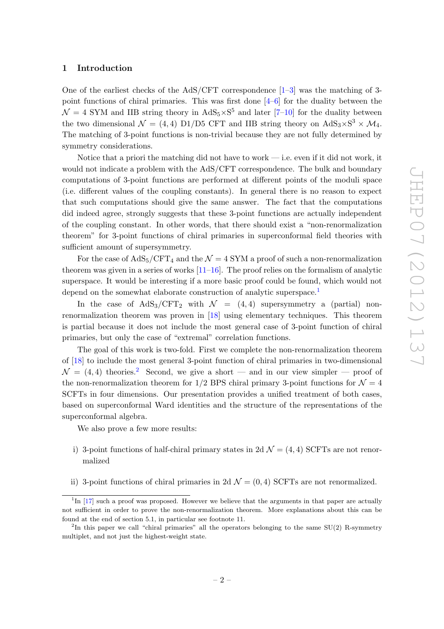#### <span id="page-3-0"></span>1 Introduction

One of the earliest checks of the AdS/CFT correspondence [\[1](#page-27-0)[–3](#page-27-1)] was the matching of 3 point functions of chiral primaries. This was first done [\[4](#page-27-2)[–6\]](#page-27-3) for the duality between the  $\mathcal{N} = 4$  SYM and IIB string theory in  $AdS_5 \times S^5$  and later [\[7](#page-27-4)-10] for the duality between the two dimensional  $\mathcal{N} = (4, 4)$  D1/D5 CFT and IIB string theory on  $AdS_3 \times S^3 \times \mathcal{M}_4$ . The matching of 3-point functions is non-trivial because they are not fully determined by symmetry considerations.

Notice that a priori the matching did not have to work — i.e. even if it did not work, it would not indicate a problem with the AdS/CFT correspondence. The bulk and boundary computations of 3-point functions are performed at different points of the moduli space (i.e. different values of the coupling constants). In general there is no reason to expect that such computations should give the same answer. The fact that the computations did indeed agree, strongly suggests that these 3-point functions are actually independent of the coupling constant. In other words, that there should exist a "non-renormalization theorem" for 3-point functions of chiral primaries in superconformal field theories with sufficient amount of supersymmetry.

For the case of  $AdS_5/CFT_4$  and the  $\mathcal{N}=4$  SYM a proof of such a non-renormalization theorem was given in a series of works  $[11-16]$ . The proof relies on the formalism of analytic superspace. It would be interesting if a more basic proof could be found, which would not depend on the somewhat elaborate construction of analytic superspace.<sup>[1](#page-3-1)</sup>

In the case of  $AdS_3/CFT_2$  with  $\mathcal{N} = (4, 4)$  supersymmetry a (partial) nonrenormalization theorem was proven in [\[18](#page-28-0)] using elementary techniques. This theorem is partial because it does not include the most general case of 3-point function of chiral primaries, but only the case of "extremal" correlation functions.

The goal of this work is two-fold. First we complete the non-renormalization theorem of [\[18\]](#page-28-0) to include the most general 3-point function of chiral primaries in two-dimensional  $\mathcal{N} = (4, 4)$  theories.<sup>[2](#page-3-2)</sup> Second, we give a short — and in our view simpler — proof of the non-renormalization theorem for  $1/2$  BPS chiral primary 3-point functions for  $\mathcal{N} = 4$ SCFTs in four dimensions. Our presentation provides a unified treatment of both cases, based on superconformal Ward identities and the structure of the representations of the superconformal algebra.

We also prove a few more results:

- i) 3-point functions of half-chiral primary states in 2d  $\mathcal{N} = (4, 4)$  SCFTs are not renormalized
- ii) 3-point functions of chiral primaries in 2d  $\mathcal{N} = (0, 4)$  SCFTs are not renormalized.

<span id="page-3-1"></span> ${}^{1}$ In [\[17](#page-27-8)] such a proof was proposed. However we believe that the arguments in that paper are actually not sufficient in order to prove the non-renormalization theorem. More explanations about this can be found at the end of section 5.1, in particular see footnote 11.

<span id="page-3-2"></span><sup>&</sup>lt;sup>2</sup>In this paper we call "chiral primaries" all the operators belonging to the same  $SU(2)$  R-symmetry multiplet, and not just the highest-weight state.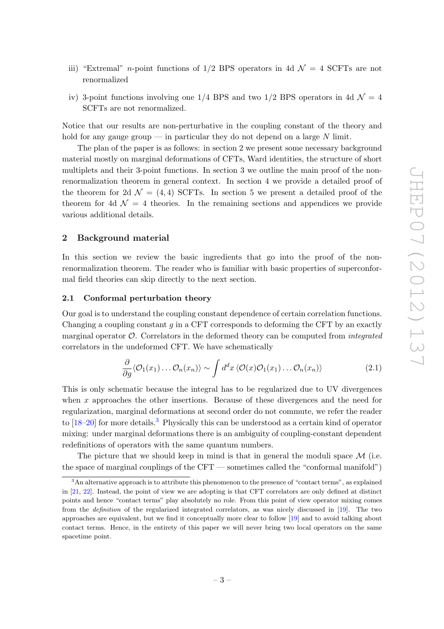- iii) "Extremal" *n*-point functions of  $1/2$  BPS operators in 4d  $\mathcal{N} = 4$  SCFTs are not renormalized
- iv) 3-point functions involving one 1/4 BPS and two 1/2 BPS operators in 4d  $\mathcal{N} = 4$ SCFTs are not renormalized.

Notice that our results are non-perturbative in the coupling constant of the theory and hold for any gauge group — in particular they do not depend on a large  $N$  limit.

The plan of the paper is as follows: in section 2 we present some necessary background material mostly on marginal deformations of CFTs, Ward identities, the structure of short multiplets and their 3-point functions. In section 3 we outline the main proof of the nonrenormalization theorem in general context. In section 4 we provide a detailed proof of the theorem for 2d  $\mathcal{N} = (4, 4)$  SCFTs. In section 5 we present a detailed proof of the theorem for 4d  $\mathcal{N} = 4$  theories. In the remaining sections and appendices we provide various additional details.

#### <span id="page-4-0"></span>2 Background material

In this section we review the basic ingredients that go into the proof of the nonrenormalization theorem. The reader who is familiar with basic properties of superconformal field theories can skip directly to the next section.

#### <span id="page-4-1"></span>2.1 Conformal perturbation theory

Our goal is to understand the coupling constant dependence of certain correlation functions. Changing a coupling constant  $g$  in a CFT corresponds to deforming the CFT by an exactly marginal operator  $\mathcal{O}$ . Correlators in the deformed theory can be computed from *integrated* correlators in the undeformed CFT. We have schematically

<span id="page-4-3"></span>
$$
\frac{\partial}{\partial g} \langle \mathcal{O}_1(x_1) \dots \mathcal{O}_n(x_n) \rangle \sim \int d^d x \, \langle \mathcal{O}(x) \mathcal{O}_1(x_1) \dots \mathcal{O}_n(x_n) \rangle \tag{2.1}
$$

This is only schematic because the integral has to be regularized due to UV divergences when  $x$  approaches the other insertions. Because of these divergences and the need for regularization, marginal deformations at second order do not commute, we refer the reader to  $[18–20]$  $[18–20]$  $[18–20]$  for more details.<sup>[3](#page-4-2)</sup> Physically this can be understood as a certain kind of operator mixing: under marginal deformations there is an ambiguity of coupling-constant dependent redefinitions of operators with the same quantum numbers.

The picture that we should keep in mind is that in general the moduli space  $\mathcal M$  (i.e. the space of marginal couplings of the CFT — sometimes called the "conformal manifold")

<span id="page-4-2"></span><sup>3</sup>An alternative approach is to attribute this phenomenon to the presence of "contact terms", as explained in [\[21,](#page-28-2) [22\]](#page-28-3). Instead, the point of view we are adopting is that CFT correlators are only defined at distinct points and hence "contact terms" play absolutely no role. From this point of view operator mixing comes from the definition of the regularized integrated correlators, as was nicely discussed in [\[19](#page-28-4)]. The two approaches are equivalent, but we find it conceptually more clear to follow [\[19\]](#page-28-4) and to avoid talking about contact terms. Hence, in the entirety of this paper we will never bring two local operators on the same spacetime point.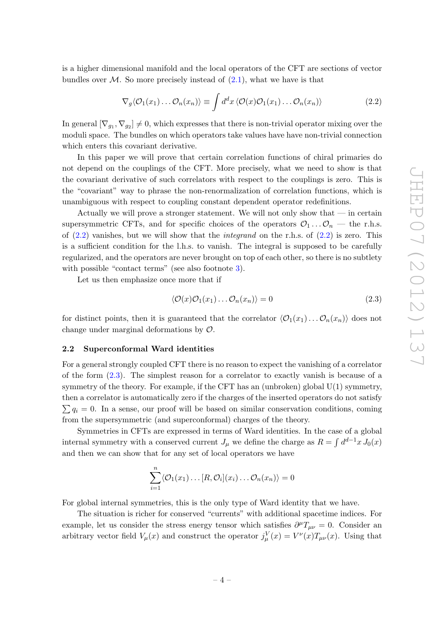is a higher dimensional manifold and the local operators of the CFT are sections of vector bundles over  $\mathcal{M}$ . So more precisely instead of [\(2.1\)](#page-4-3), what we have is that

<span id="page-5-1"></span>
$$
\nabla_g \langle \mathcal{O}_1(x_1) \dots \mathcal{O}_n(x_n) \rangle \equiv \int d^d x \, \langle \mathcal{O}(x) \mathcal{O}_1(x_1) \dots \mathcal{O}_n(x_n) \rangle \tag{2.2}
$$

In general  $[\nabla_{g_1}, \nabla_{g_2}] \neq 0$ , which expresses that there is non-trivial operator mixing over the moduli space. The bundles on which operators take values have have non-trivial connection which enters this covariant derivative.

In this paper we will prove that certain correlation functions of chiral primaries do not depend on the couplings of the CFT. More precisely, what we need to show is that the covariant derivative of such correlators with respect to the couplings is zero. This is the "covariant" way to phrase the non-renormalization of correlation functions, which is unambiguous with respect to coupling constant dependent operator redefinitions.

Actually we will prove a stronger statement. We will not only show that — in certain supersymmetric CFTs, and for specific choices of the operators  $\mathcal{O}_1 \dots \mathcal{O}_n$  — the r.h.s. of  $(2.2)$  vanishes, but we will show that the *integrand* on the r.h.s. of  $(2.2)$  is zero. This is a sufficient condition for the l.h.s. to vanish. The integral is supposed to be carefully regularized, and the operators are never brought on top of each other, so there is no subtlety with possible "contact terms" (see also footnote [3\)](#page-4-2).

Let us then emphasize once more that if

<span id="page-5-2"></span>
$$
\langle \mathcal{O}(x)\mathcal{O}_1(x_1)\dots\mathcal{O}_n(x_n)\rangle = 0\tag{2.3}
$$

for distinct points, then it is guaranteed that the correlator  $\langle \mathcal{O}_1(x_1) \dots \mathcal{O}_n(x_n) \rangle$  does not change under marginal deformations by O.

#### <span id="page-5-0"></span>2.2 Superconformal Ward identities

For a general strongly coupled CFT there is no reason to expect the vanishing of a correlator of the form [\(2.3\)](#page-5-2). The simplest reason for a correlator to exactly vanish is because of a symmetry of the theory. For example, if the CFT has an (unbroken) global  $U(1)$  symmetry, then a correlator is automatically zero if the charges of the inserted operators do not satisfy  $\sum q_i = 0$ . In a sense, our proof will be based on similar conservation conditions, coming from the supersymmetric (and superconformal) charges of the theory.

Symmetries in CFTs are expressed in terms of Ward identities. In the case of a global internal symmetry with a conserved current  $J_{\mu}$  we define the charge as  $R = \int d^{d-1}x J_0(x)$ and then we can show that for any set of local operators we have

$$
\sum_{i=1}^n \langle \mathcal{O}_1(x_1) \dots [R, \mathcal{O}_i](x_i) \dots \mathcal{O}_n(x_n) \rangle = 0
$$

For global internal symmetries, this is the only type of Ward identity that we have.

The situation is richer for conserved "currents" with additional spacetime indices. For example, let us consider the stress energy tensor which satisfies  $\partial^{\mu}T_{\mu\nu} = 0$ . Consider an arbitrary vector field  $V_{\mu}(x)$  and construct the operator  $j_{\mu}^{V}(x) = V^{\nu}(x)T_{\mu\nu}(x)$ . Using that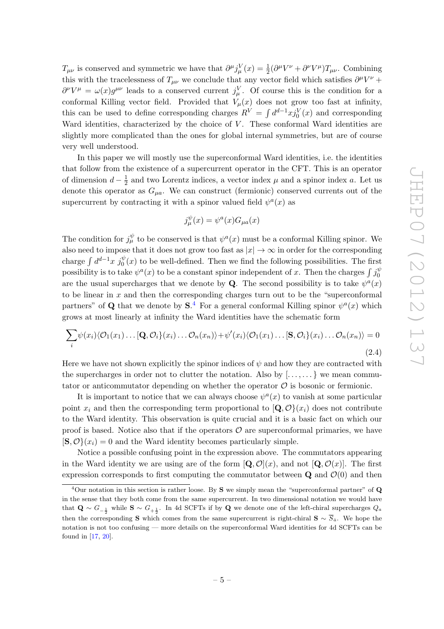$T_{\mu\nu}$  is conserved and symmetric we have that  $\partial^{\mu}j_{\mu}^{V}(x) = \frac{1}{2}(\partial^{\mu}V^{\nu} + \partial^{\nu}V^{\mu})T_{\mu\nu}$ . Combining this with the tracelessness of  $T_{\mu\nu}$  we conclude that any vector field which satisfies  $\partial^{\mu}V^{\nu}$  +  $\partial^{\nu}V^{\mu} = \omega(x)g^{\mu\nu}$  leads to a conserved current  $j_{\mu}^{V}$ . Of course this is the condition for a conformal Killing vector field. Provided that  $V_\mu(x)$  does not grow too fast at infinity, this can be used to define corresponding charges  $R^V = \int d^{d-1}x j_0^V(x)$  and corresponding Ward identities, characterized by the choice of  $V$ . These conformal Ward identities are slightly more complicated than the ones for global internal symmetries, but are of course very well understood.

In this paper we will mostly use the superconformal Ward identities, i.e. the identities that follow from the existence of a supercurrent operator in the CFT. This is an operator of dimension  $d - \frac{1}{2}$  $\frac{1}{2}$  and two Lorentz indices, a vector index  $\mu$  and a spinor index  $a$ . Let us denote this operator as  $G_{\mu a}$ . We can construct (fermionic) conserved currents out of the supercurrent by contracting it with a spinor valued field  $\psi^a(x)$  as

$$
j_{\mu}^{\psi}(x) = \psi^{a}(x)G_{\mu a}(x)
$$

The condition for  $j^{\psi}_{\mu}$  to be conserved is that  $\psi^{a}(x)$  must be a conformal Killing spinor. We also need to impose that it does not grow too fast as  $|x| \to \infty$  in order for the corresponding charge  $\int d^{d-1}x \, j_0^{\psi}(x)$  to be well-defined. Then we find the following possibilities. The first possibility is to take  $\psi^a(x)$  to be a constant spinor independent of x. Then the charges  $\int j_0^{\psi}$ 0 are the usual supercharges that we denote by **Q**. The second possibility is to take  $\psi^a(x)$ to be linear in  $x$  and then the corresponding charges turn out to be the "superconformal" partners" of Q that we denote by  $S^4$  $S^4$ . For a general conformal Killing spinor  $\psi^a(x)$  which grows at most linearly at infinity the Ward identities have the schematic form

<span id="page-6-1"></span>
$$
\sum_{i} \psi(x_i) \langle \mathcal{O}_1(x_1) \dots [\mathbf{Q}, \mathcal{O}_i](x_i) \dots \mathcal{O}_n(x_n) \rangle + \psi'(x_i) \langle \mathcal{O}_1(x_1) \dots [\mathbf{S}, \mathcal{O}_i](x_i) \dots \mathcal{O}_n(x_n) \rangle = 0
$$
\n(2.4)

Here we have not shown explicitly the spinor indices of  $\psi$  and how they are contracted with the supercharges in order not to clutter the notation. Also by  $[\ldots, \ldots]$  we mean commutator or anticommutator depending on whether the operator  $\mathcal O$  is bosonic or fermionic.

It is important to notice that we can always choose  $\psi^a(x)$  to vanish at some particular point  $x_i$  and then the corresponding term proportional to  $[Q, \mathcal{O}\}(x_i)$  does not contribute to the Ward identity. This observation is quite crucial and it is a basic fact on which our proof is based. Notice also that if the operators  $\mathcal O$  are superconformal primaries, we have  $[\mathbf{S}, \mathcal{O}\}(x_i) = 0$  and the Ward identity becomes particularly simple.

Notice a possible confusing point in the expression above. The commutators appearing in the Ward identity we are using are of the form  $\left[\mathbf{Q}, \mathcal{O}(x)\right]$ , and not  $\left[\mathbf{Q}, \mathcal{O}(x)\right]$ . The first expression corresponds to first computing the commutator between  $\bf{Q}$  and  $\mathcal{O}(0)$  and then

<span id="page-6-0"></span> $4$ Our notation in this section is rather loose. By S we simply mean the "superconformal partner" of Q in the sense that they both come from the same supercurrent. In two dimensional notation we would have that  $\mathbf{Q} \sim G_{-\frac{1}{2}}$  while  $\mathbf{S} \sim G_{+\frac{1}{2}}$ . In 4d SCFTs if by  $\mathbf{Q}$  we denote one of the left-chiral supercharges  $Q_a$ then the corresponding S which comes from the same supercurrent is right-chiral  $\mathbf{S} \sim \overline{S}_{\dot{a}}$ . We hope the notation is not too confusing — more details on the superconformal Ward identities for 4d SCFTs can be found in [\[17,](#page-27-8) [20\]](#page-28-1).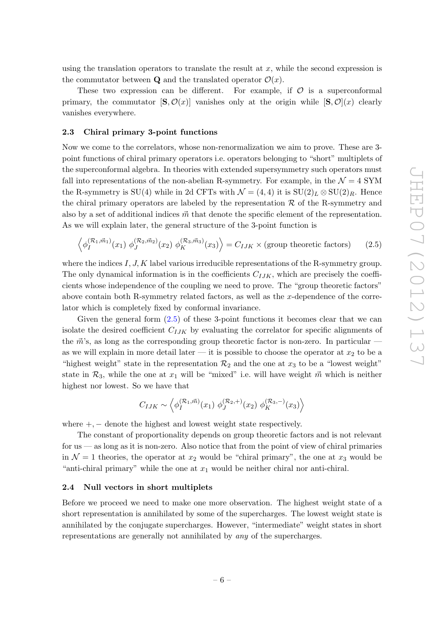using the translation operators to translate the result at  $x$ , while the second expression is the commutator between **Q** and the translated operator  $\mathcal{O}(x)$ .

These two expression can be different. For example, if  $\mathcal O$  is a superconformal primary, the commutator  $[\mathbf{S}, \mathcal{O}(x)]$  vanishes only at the origin while  $[\mathbf{S}, \mathcal{O}(x)]$  clearly vanishes everywhere.

#### <span id="page-7-0"></span>2.3 Chiral primary 3-point functions

Now we come to the correlators, whose non-renormalization we aim to prove. These are 3 point functions of chiral primary operators i.e. operators belonging to "short" multiplets of the superconformal algebra. In theories with extended supersymmetry such operators must fall into representations of the non-abelian R-symmetry. For example, in the  $\mathcal{N}=4$  SYM the R-symmetry is SU(4) while in 2d CFTs with  $\mathcal{N} = (4, 4)$  it is  $SU(2)_L \otimes SU(2)_R$ . Hence the chiral primary operators are labeled by the representation  $R$  of the R-symmetry and also by a set of additional indices  $\vec{m}$  that denote the specific element of the representation. As we will explain later, the general structure of the 3-point function is

<span id="page-7-2"></span>
$$
\left\langle \phi_I^{(\mathcal{R}_1, \vec{m}_1)}(x_1) \; \phi_J^{(\mathcal{R}_2, \vec{m}_2)}(x_2) \; \phi_K^{(\mathcal{R}_3, \vec{m}_3)}(x_3) \right\rangle = C_{IJK} \times \text{(group theoretic factors)} \tag{2.5}
$$

where the indices  $I, J, K$  label various irreducible representations of the R-symmetry group. The only dynamical information is in the coefficients  $C_{IJK}$ , which are precisely the coefficients whose independence of the coupling we need to prove. The "group theoretic factors" above contain both R-symmetry related factors, as well as the x-dependence of the correlator which is completely fixed by conformal invariance.

Given the general form  $(2.5)$  of these 3-point functions it becomes clear that we can isolate the desired coefficient  $C_{IJK}$  by evaluating the correlator for specific alignments of the  $\vec{m}$ 's, as long as the corresponding group theoretic factor is non-zero. In particular as we will explain in more detail later — it is possible to choose the operator at  $x_2$  to be a "highest weight" state in the representation  $\mathcal{R}_2$  and the one at  $x_3$  to be a "lowest weight" state in  $\mathcal{R}_3$ , while the one at  $x_1$  will be "mixed" i.e. will have weight  $\vec{m}$  which is neither highest nor lowest. So we have that

$$
C_{IJK} \sim \left\langle \phi_I^{(\mathcal{R}_1, \vec{m})}(x_1) \; \phi_J^{(\mathcal{R}_2, +)}(x_2) \; \phi_K^{(\mathcal{R}_3, -)}(x_3) \right\rangle
$$

where  $+$ ,  $-$  denote the highest and lowest weight state respectively.

The constant of proportionality depends on group theoretic factors and is not relevant for us — as long as it is non-zero. Also notice that from the point of view of chiral primaries in  $\mathcal{N} = 1$  theories, the operator at  $x_2$  would be "chiral primary", the one at  $x_3$  would be "anti-chiral primary" while the one at  $x_1$  would be neither chiral nor anti-chiral.

#### <span id="page-7-1"></span>2.4 Null vectors in short multiplets

Before we proceed we need to make one more observation. The highest weight state of a short representation is annihilated by some of the supercharges. The lowest weight state is annihilated by the conjugate supercharges. However, "intermediate" weight states in short representations are generally not annihilated by any of the supercharges.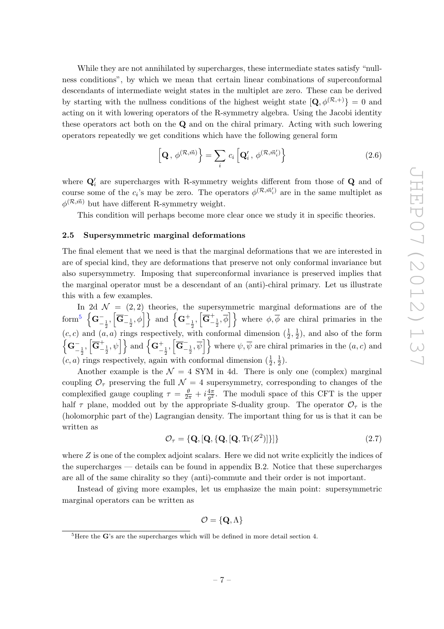While they are not annihilated by supercharges, these intermediate states satisfy "nullness conditions", by which we mean that certain linear combinations of superconformal descendants of intermediate weight states in the multiplet are zero. These can be derived by starting with the nullness conditions of the highest weight state  $[Q, \phi^{(\mathcal{R},+)}] = 0$  and acting on it with lowering operators of the R-symmetry algebra. Using the Jacobi identity these operators act both on the Q and on the chiral primary. Acting with such lowering operators repeatedly we get conditions which have the following general form

<span id="page-8-2"></span>
$$
\left[\mathbf{Q},\,\phi^{(\mathcal{R},\vec{m})}\right\rbrace = \sum_{i} c_{i} \left[\mathbf{Q}'_{i},\,\phi^{(\mathcal{R},\vec{m}'_{i})}\right\rbrace \tag{2.6}
$$

where  $\mathbf{Q}'_i$  are supercharges with R-symmetry weights different from those of  $\mathbf{Q}$  and of course some of the  $c_i$ 's may be zero. The operators  $\phi^{(\mathcal{R}, \vec{m}'_i)}$  are in the same multiplet as  $\phi^{(\mathcal{R}, \vec{m})}$  but have different R-symmetry weight.

This condition will perhaps become more clear once we study it in specific theories.

#### <span id="page-8-0"></span>2.5 Supersymmetric marginal deformations

The final element that we need is that the marginal deformations that we are interested in are of special kind, they are deformations that preserve not only conformal invariance but also supersymmetry. Imposing that superconformal invariance is preserved implies that the marginal operator must be a descendant of an (anti)-chiral primary. Let us illustrate this with a few examples.

In 2d  $\mathcal{N} = (2, 2)$  theories, the supersymmetric marginal deformations are of the  $\{\mathbf{G}^{-}_{-\frac{1}{2}},\left[\overline{\mathbf{G}}^{-}_{-\frac{1}{2}},\phi\right]\}$  and  $\left\{\mathbf{G}^{+}_{-\frac{1}{2}},\left[\overline{\mathbf{G}}^{+}_{-\frac{1}{2}},\overline{\phi}\right]\right\}$  where  $\phi,\overline{\phi}$  are chiral primaries in the  $(c, c)$  and  $(a, a)$  rings respectively, with conformal dimension  $(\frac{1}{2}, \frac{1}{2})$  $(\frac{1}{2})$ , and also of the form  $\left\{ \mathbf{G}_{-\frac{1}{2}}^{-}, \left[\overline{\mathbf{G}}_{-\frac{1}{2}}^{+}, \psi\right] \right\}$  and  $\left\{ \mathbf{G}_{-\frac{1}{2}}^{+}, \left[\overline{\mathbf{G}}_{-\frac{1}{2}}^{-}, \overline{\psi}\right] \right\}$  where  $\psi, \overline{\psi}$  are chiral primaries in the  $(a, c)$  and  $(c, a)$  rings respectively, again with conformal dimension  $(\frac{1}{2}, \frac{1}{2})$  $(\frac{1}{2})$ .

Another example is the  $\mathcal{N} = 4$  SYM in 4d. There is only one (complex) marginal coupling  $\mathcal{O}_{\tau}$  preserving the full  $\mathcal{N}=4$  supersymmetry, corresponding to changes of the complexified gauge coupling  $\tau = \frac{\theta}{2\pi} + i\frac{4\pi}{g^2}$  $\frac{4\pi}{g^2}$ . The moduli space of this CFT is the upper half  $\tau$  plane, modded out by the appropriate S-duality group. The operator  $\mathcal{O}_{\tau}$  is the (holomorphic part of the) Lagrangian density. The important thing for us is that it can be written as

<span id="page-8-3"></span>
$$
\mathcal{O}_{\tau} = \{ \mathbf{Q}, [\mathbf{Q}, \{\mathbf{Q}, [\mathbf{Q}, \text{Tr}(Z^2)]\} ] \}
$$
\n(2.7)

where  $Z$  is one of the complex adjoint scalars. Here we did not write explicitly the indices of the supercharges — details can be found in appendix B.2. Notice that these supercharges are all of the same chirality so they (anti)-commute and their order is not important.

Instead of giving more examples, let us emphasize the main point: supersymmetric marginal operators can be written as

$$
\mathcal{O} = \{ \mathbf{Q}, \Lambda \}
$$

<span id="page-8-1"></span> ${}^{5}$ Here the G's are the supercharges which will be defined in more detail section 4.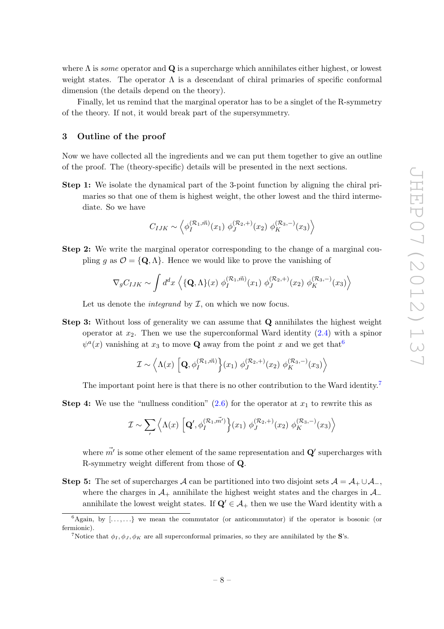where  $\Lambda$  is some operator and  $\mathbf Q$  is a supercharge which annihilates either highest, or lowest weight states. The operator  $\Lambda$  is a descendant of chiral primaries of specific conformal dimension (the details depend on the theory).

Finally, let us remind that the marginal operator has to be a singlet of the R-symmetry of the theory. If not, it would break part of the supersymmetry.

## <span id="page-9-0"></span>3 Outline of the proof

Now we have collected all the ingredients and we can put them together to give an outline of the proof. The (theory-specific) details will be presented in the next sections.

Step 1: We isolate the dynamical part of the 3-point function by aligning the chiral primaries so that one of them is highest weight, the other lowest and the third intermediate. So we have

$$
C_{IJK} \sim \left\langle \phi_I^{(\mathcal{R}_1, \vec{m})}(x_1) \; \phi_J^{(\mathcal{R}_2, +)}(x_2) \; \phi_K^{(\mathcal{R}_3, -)}(x_3) \right\rangle
$$

Step 2: We write the marginal operator corresponding to the change of a marginal coupling g as  $\mathcal{O} = \{Q, \Lambda\}$ . Hence we would like to prove the vanishing of

$$
\nabla_g C_{IJK} \sim \int d^dx \left\langle \{ \mathbf{Q}, \Lambda \}(x) \; \phi_I^{(\mathcal{R}_1, \vec{m})}(x_1) \; \phi_J^{(\mathcal{R}_2, +)}(x_2) \; \phi_K^{(\mathcal{R}_3, -)}(x_3) \right\rangle
$$

Let us denote the *integrand* by  $I$ , on which we now focus.

Step 3: Without loss of generality we can assume that Q annihilates the highest weight operator at  $x_2$ . Then we use the superconformal Ward identity  $(2.4)$  with a spinor  $\psi^a(x)$  vanishing at  $x_3$  to move **Q** away from the point x and we get that  $\frac{6}{3}$  $\frac{6}{3}$  $\frac{6}{3}$ 

$$
\mathcal{I} \sim \left\langle \Lambda(x) \left[ \mathbf{Q}, \phi_I^{(\mathcal{R}_1, \vec{m})} \right] (x_1) \phi_J^{(\mathcal{R}_2, +)}(x_2) \phi_K^{(\mathcal{R}_3, -)}(x_3) \right\rangle
$$

The important point here is that there is no other contribution to the Ward identity.<sup>[7](#page-9-2)</sup>

**Step 4:** We use the "nullness condition"  $(2.6)$  for the operator at  $x_1$  to rewrite this as

$$
\mathcal{I} \sim \sum_{I} \left\langle \Lambda(x) \left[ \mathbf{Q}', \phi_{I}^{(\mathcal{R}_1, \vec{m'})} \right] (x_1) \phi_{J}^{(\mathcal{R}_2, +)} (x_2) \phi_{K}^{(\mathcal{R}_3, -)} (x_3) \right\rangle
$$

where  $\vec{m'}$  is some other element of the same representation and  $\mathbf{Q}'$  supercharges with R-symmetry weight different from those of Q.

Step 5: The set of supercharges A can be partitioned into two disjoint sets  $A = A_+ \cup A_-$ , where the charges in  $\mathcal{A}_+$  annihilate the highest weight states and the charges in  $\mathcal{A}_$ annihilate the lowest weight states. If  $\mathbf{Q}' \in \mathcal{A}_+$  then we use the Ward identity with a

 ${}^{6}$ Again, by  $[\ldots, \ldots]$  we mean the commutator (or anticommutator) if the operator is bosonic (or fermionic).

<span id="page-9-2"></span><span id="page-9-1"></span><sup>&</sup>lt;sup>7</sup>Notice that  $\phi_I, \phi_J, \phi_K$  are all superconformal primaries, so they are annihilated by the S's.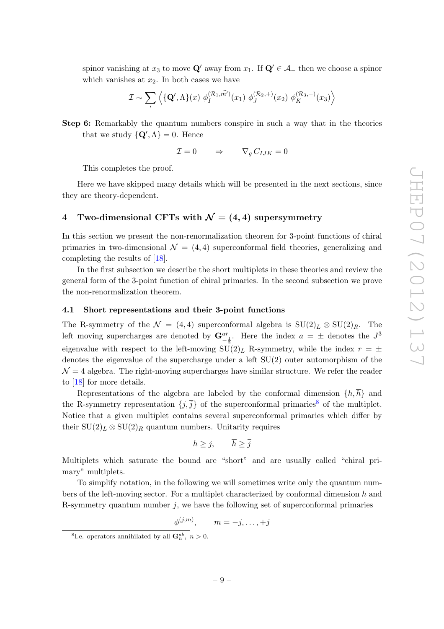spinor vanishing at  $x_3$  to move  $\mathbf{Q}'$  away from  $x_1$ . If  $\mathbf{Q}' \in \mathcal{A}$  then we choose a spinor which vanishes at  $x_2$ . In both cases we have

$$
\mathcal{I} \sim \sum_{I} \left\langle \{ \mathbf{Q}', \Lambda \}(x) \phi_I^{(\mathcal{R}_1, \vec{m}')}(x_1) \phi_J^{(\mathcal{R}_2, +)}(x_2) \phi_K^{(\mathcal{R}_3, -)}(x_3) \right\rangle
$$

Step 6: Remarkably the quantum numbers conspire in such a way that in the theories that we study  $\{Q', \Lambda\} = 0$ . Hence

$$
\mathcal{I} = 0 \qquad \Rightarrow \qquad \nabla_g C_{IJK} = 0
$$

This completes the proof.

Here we have skipped many details which will be presented in the next sections, since they are theory-dependent.

## <span id="page-10-0"></span>4 Two-dimensional CFTs with  $\mathcal{N} = (4, 4)$  supersymmetry

In this section we present the non-renormalization theorem for 3-point functions of chiral primaries in two-dimensional  $\mathcal{N} = (4, 4)$  superconformal field theories, generalizing and completing the results of [\[18\]](#page-28-0).

In the first subsection we describe the short multiplets in these theories and review the general form of the 3-point function of chiral primaries. In the second subsection we prove the non-renormalization theorem.

#### <span id="page-10-1"></span>4.1 Short representations and their 3-point functions

The R-symmetry of the  $\mathcal{N} = (4, 4)$  superconformal algebra is  $SU(2)_L \otimes SU(2)_R$ . The left moving supercharges are denoted by  $\mathbf{G}^{ar}_{-\frac{1}{2}}$ . Here the index  $a = \pm$  denotes the  $J^3$ eigenvalue with respect to the left-moving  $SU(2)_L$  R-symmetry, while the index  $r = \pm$ denotes the eigenvalue of the supercharge under a left SU(2) outer automorphism of the  $\mathcal{N}=4$  algebra. The right-moving supercharges have similar structure. We refer the reader to [\[18\]](#page-28-0) for more details.

Representations of the algebra are labeled by the conformal dimension  $\{h, \overline{h}\}\$  and the R-symmetry representation  $\{j,\overline{j}\}$  of the superconformal primaries<sup>[8](#page-10-2)</sup> of the multiplet. Notice that a given multiplet contains several superconformal primaries which differ by their  $SU(2)_L \otimes SU(2)_R$  quantum numbers. Unitarity requires

$$
h \geq j, \qquad \overline{h} \geq \overline{j}
$$

Multiplets which saturate the bound are "short" and are usually called "chiral primary" multiplets.

To simplify notation, in the following we will sometimes write only the quantum numbers of the left-moving sector. For a multiplet characterized by conformal dimension h and R-symmetry quantum number  $j$ , we have the following set of superconformal primaries

$$
\phi^{(j,m)}, \qquad m = -j, \ldots, +j
$$

<span id="page-10-2"></span><sup>&</sup>lt;sup>8</sup>I.e. operators annihilated by all  $\mathbf{G}_n^{ab}$ ,  $n > 0$ .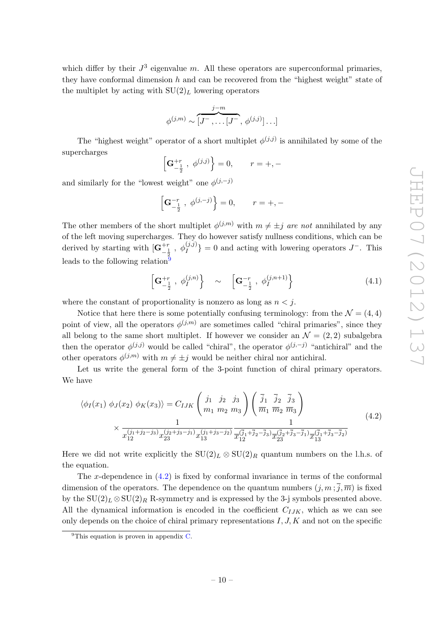which differ by their  $J^3$  eigenvalue m. All these operators are superconformal primaries, they have conformal dimension  $h$  and can be recovered from the "highest weight" state of the multiplet by acting with  $SU(2)_L$  lowering operators

$$
\phi^{(j,m)} \sim \overbrace{[J^-,\dots [J^-]}^{j-m}, \phi^{(j,j)}] \dots]
$$

The "highest weight" operator of a short multiplet  $\phi^{(j,j)}$  is annihilated by some of the supercharges

$$
\left[\mathbf{G}_{-\frac{1}{2}}^{+r} , \phi^{(j,j)}\right] = 0, \qquad r = +, -
$$

and similarly for the "lowest weight" one  $\phi^{(j,-j)}$ 

$$
\left[{\bf G}^{-r}_{-\frac{1}{2}}~,~\phi^{(j,-j)}\right\} = 0, \qquad r = +,-
$$

The other members of the short multiplet  $\phi^{(j,m)}$  with  $m \neq \pm j$  are not annihilated by any of the left moving supercharges. They do however satisfy nullness conditions, which can be derived by starting with  $[\mathbf{G}_{-\frac{1}{2}}^{+r}, \phi_I^{(j,j)}] = 0$  and acting with lowering operators  $J^-$ . This leads to the following relation<sup>[9](#page-11-0)</sup>

<span id="page-11-2"></span>
$$
\left[\mathbf{G}_{-\frac{1}{2}}^{+r}, \phi_{I}^{(j,n)}\right] \sim \left[\mathbf{G}_{-\frac{1}{2}}^{-r}, \phi_{I}^{(j,n+1)}\right] \tag{4.1}
$$

where the constant of proportionality is nonzero as long as  $n < j$ .

Notice that here there is some potentially confusing terminology: from the  $\mathcal{N} = (4, 4)$ point of view, all the operators  $\phi^{(j,m)}$  are sometimes called "chiral primaries", since they all belong to the same short multiplet. If however we consider an  $\mathcal{N} = (2, 2)$  subalgebra then the operator  $\phi^{(j,j)}$  would be called "chiral", the operator  $\phi^{(j,-j)}$  "antichiral" and the other operators  $\phi^{(j,m)}$  with  $m \neq \pm j$  would be neither chiral nor antichiral.

Let us write the general form of the 3-point function of chiral primary operators. We have

<span id="page-11-1"></span>
$$
\langle \phi_I(x_1) \phi_J(x_2) \phi_K(x_3) \rangle = C_{IJK} \left( \begin{array}{ccc} j_1 & j_2 & j_3 \\ m_1 & m_2 & m_3 \end{array} \right) \left( \frac{\bar{j}_1}{m_1} \frac{\bar{j}_2}{m_2} \frac{\bar{j}_3}{m_3} \right) \times \frac{1}{x_{12}^{(j_1+j_2-j_3)} x_{23}^{(j_2+j_3-j_1)} x_{13}^{(j_1+j_3-j_2)} \frac{1}{x_{12}^{(\bar{j}_1+\bar{j}_2-\bar{j}_3)} x_{23}^{(\bar{j}_2+\bar{j}_3-\bar{j}_1)} \frac{1}{x_{13}^{(\bar{j}_1+\bar{j}_3-\bar{j}_2)}} \end{array}
$$
(4.2)

Here we did not write explicitly the  $SU(2)_L \otimes SU(2)_R$  quantum numbers on the l.h.s. of the equation.

The x-dependence in  $(4.2)$  is fixed by conformal invariance in terms of the conformal dimension of the operators. The dependence on the quantum numbers  $(j, m; \overline{j}, \overline{m})$  is fixed by the  $SU(2)_L \otimes SU(2)_R$  R-symmetry and is expressed by the 3-j symbols presented above. All the dynamical information is encoded in the coefficient  $C_{IJK}$ , which as we can see only depends on the choice of chiral primary representations  $I, J, K$  and not on the specific

<span id="page-11-0"></span> $^{9}$ This equation is proven in appendix [C.](#page-25-0)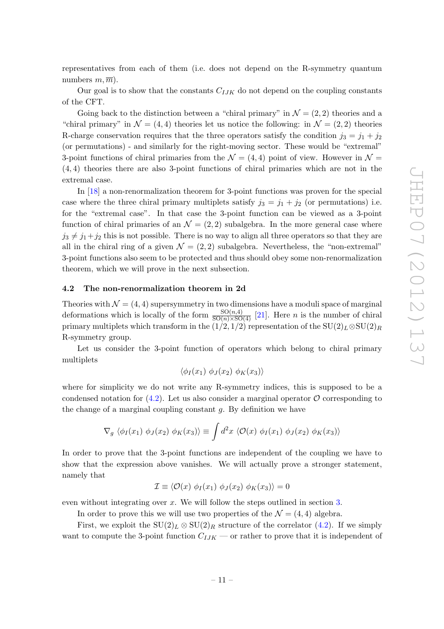representatives from each of them (i.e. does not depend on the R-symmetry quantum numbers  $m, \overline{m}$ ).

Our goal is to show that the constants  $C_{IJK}$  do not depend on the coupling constants of the CFT.

Going back to the distinction between a "chiral primary" in  $\mathcal{N} = (2, 2)$  theories and a "chiral primary" in  $\mathcal{N} = (4, 4)$  theories let us notice the following: in  $\mathcal{N} = (2, 2)$  theories R-charge conservation requires that the three operators satisfy the condition  $j_3 = j_1 + j_2$ (or permutations) - and similarly for the right-moving sector. These would be "extremal" 3-point functions of chiral primaries from the  $\mathcal{N} = (4, 4)$  point of view. However in  $\mathcal{N} =$ (4, 4) theories there are also 3-point functions of chiral primaries which are not in the extremal case.

In [\[18](#page-28-0)] a non-renormalization theorem for 3-point functions was proven for the special case where the three chiral primary multiplets satisfy  $j_3 = j_1 + j_2$  (or permutations) i.e. for the "extremal case". In that case the 3-point function can be viewed as a 3-point function of chiral primaries of an  $\mathcal{N} = (2, 2)$  subalgebra. In the more general case where  $j_3 \neq j_1+j_2$  this is not possible. There is no way to align all three operators so that they are all in the chiral ring of a given  $\mathcal{N} = (2, 2)$  subalgebra. Nevertheless, the "non-extremal" 3-point functions also seem to be protected and thus should obey some non-renormalization theorem, which we will prove in the next subsection.

#### <span id="page-12-0"></span>4.2 The non-renormalization theorem in 2d

Theories with  $\mathcal{N} = (4, 4)$  supersymmetry in two dimensions have a moduli space of marginal deformations which is locally of the form  $\frac{SO(n,4)}{SO(n)\times SO(4)}$  [\[21](#page-28-2)]. Here *n* is the number of chiral primary multiplets which transform in the  $(1/2, 1/2)$  representation of the SU $(2)_L \otimes SU(2)_R$ R-symmetry group.

Let us consider the 3-point function of operators which belong to chiral primary multiplets

 $\langle \phi_I (x_1) \phi_J (x_2) \phi_K (x_3) \rangle$ 

where for simplicity we do not write any R-symmetry indices, this is supposed to be a condensed notation for  $(4.2)$ . Let us also consider a marginal operator  $\mathcal O$  corresponding to the change of a marginal coupling constant  $g$ . By definition we have

$$
\nabla_g \langle \phi_I(x_1) \phi_J(x_2) \phi_K(x_3) \rangle \equiv \int d^2x \langle \mathcal{O}(x) \phi_I(x_1) \phi_J(x_2) \phi_K(x_3) \rangle
$$

In order to prove that the 3-point functions are independent of the coupling we have to show that the expression above vanishes. We will actually prove a stronger statement, namely that

$$
\mathcal{I} \equiv \langle \mathcal{O}(x) \; \phi_I(x_1) \; \phi_J(x_2) \; \phi_K(x_3) \rangle = 0
$$

even without integrating over x. We will follow the steps outlined in section [3.](#page-9-0)

In order to prove this we will use two properties of the  $\mathcal{N} = (4, 4)$  algebra.

First, we exploit the  $SU(2)_L \otimes SU(2)_R$  structure of the correlator [\(4.2\)](#page-11-1). If we simply want to compute the 3-point function  $C_{IJK}$  — or rather to prove that it is independent of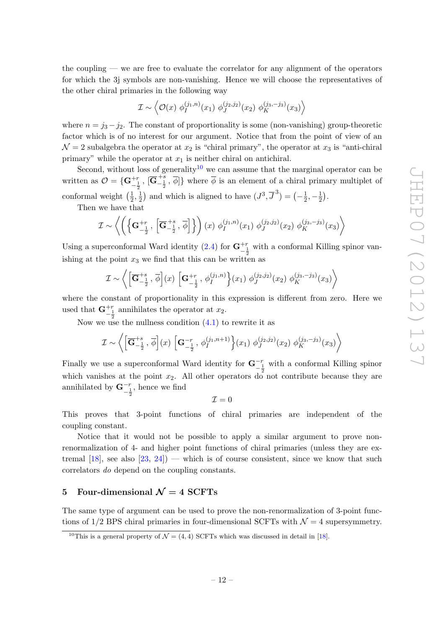the coupling — we are free to evaluate the correlator for any alignment of the operators for which the 3j symbols are non-vanishing. Hence we will choose the representatives of the other chiral primaries in the following way

$$
\mathcal{I} \sim \left\langle \mathcal{O}(x) \; \phi_I^{(j_1,n)}(x_1) \; \phi_J^{(j_2,j_2)}(x_2) \; \phi_K^{(j_3,-j_3)}(x_3) \right\rangle
$$

where  $n = j_3 - j_2$ . The constant of proportionality is some (non-vanishing) group-theoretic factor which is of no interest for our argument. Notice that from the point of view of an  $\mathcal{N}=2$  subalgebra the operator at  $x_2$  is "chiral primary", the operator at  $x_3$  is "anti-chiral primary" while the operator at  $x_1$  is neither chiral on antichiral.

Second, without loss of generality<sup>[10](#page-13-1)</sup> we can assume that the marginal operator can be written as  $\mathcal{O} = \{ \mathbf{G}_{-\frac{1}{2}}^{+r}, \overline{|\mathbf{G}_{-\frac{1}{2}}^{+s}, \overline{\phi}]} \}$  where  $\overline{\phi}$  is an element of a chiral primary multiplet of conformal weight  $\left(\frac{1}{2}\right)$  $\frac{1}{2}, \frac{1}{2}$  $(\frac{1}{2})$  and which is aligned to have  $(J^3, \overline{J}^3) = \left(-\frac{1}{2}\right)$  $\frac{1}{2}, -\frac{1}{2}$  $\frac{1}{2}$ .

Then we have that

$$
\mathcal{I} \sim \left\langle \left( \left\{ \mathbf{G}_{-\frac{1}{2}}^{+r}, \, \left[ \overline{\mathbf{G}}_{-\frac{1}{2}}^{+s}, \, \overline{\phi} \right] \right\} \right) (x) \, \phi_I^{(j_1, n)}(x_1) \, \phi_J^{(j_2, j_2)}(x_2) \, \phi_K^{(j_3, -j_3)}(x_3) \right\rangle
$$

Using a superconformal Ward identity [\(2.4\)](#page-6-1) for  $\mathbf{G}^{+r}_{-\frac{1}{2}}$  with a conformal Killing spinor vanishing at the point  $x_3$  we find that this can be written as

$$
\mathcal{I} \sim \left\langle \left[ \overline{\mathbf{G}}_{-\frac{1}{2}}^{+s}, \overline{\phi} \right] (x) \left[ \mathbf{G}_{-\frac{1}{2}}^{+r}, \phi_I^{(j_1, n)} \right] (x_1) \phi_J^{(j_2, j_2)}(x_2) \phi_K^{(j_3, -j_3)}(x_3) \right\rangle
$$

where the constant of proportionality in this expression is different from zero. Here we used that  $\mathbf{G}_{-\frac{1}{2}}^{+r}$  annihilates the operator at  $x_2$ .

Now we use the nullness condition  $(4.1)$  to rewrite it as

$$
\mathcal{I} \sim \left\langle \left[ \overline{\mathbf{G}}_{-\frac{1}{2}}^{+s}, \overline{\phi} \right] (x) \left[ \mathbf{G}_{-\frac{1}{2}}^{-r}, \phi_{I}^{(j_{1}, n+1)} \right] (x_{1}) \phi_{J}^{(j_{2}, j_{2})} (x_{2}) \phi_{K}^{(j_{3}, -j_{3})} (x_{3}) \right\rangle
$$

Finally we use a superconformal Ward identity for  $\mathbf{G}^{-r}_{-\frac{1}{2}}$  with a conformal Killing spinor which vanishes at the point  $x_2$ . All other operators do not contribute because they are annihilated by  $\mathbf{G}^{-r}_{-\frac{1}{2}}$ , hence we find

 $\mathcal{I} = 0$ 

This proves that 3-point functions of chiral primaries are independent of the coupling constant.

Notice that it would not be possible to apply a similar argument to prove nonrenormalization of 4- and higher point functions of chiral primaries (unless they are extremal  $[18]$ , see also  $[23, 24]$  $[23, 24]$  — which is of course consistent, since we know that such correlators do depend on the coupling constants.

## <span id="page-13-0"></span>5 Four-dimensional  $\mathcal{N}=4$  SCFTs

The same type of argument can be used to prove the non-renormalization of 3-point functions of  $1/2$  BPS chiral primaries in four-dimensional SCFTs with  $\mathcal{N}=4$  supersymmetry.

<span id="page-13-1"></span><sup>&</sup>lt;sup>10</sup>This is a general property of  $\mathcal{N} = (4, 4)$  SCFTs which was discussed in detail in [\[18\]](#page-28-0).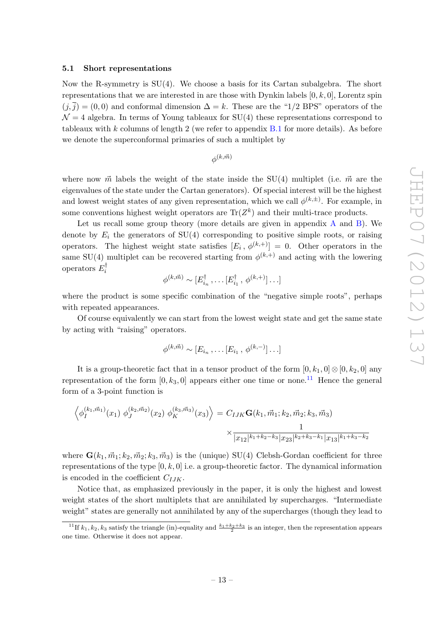#### <span id="page-14-0"></span>5.1 Short representations

Now the R-symmetry is  $SU(4)$ . We choose a basis for its Cartan subalgebra. The short representations that we are interested in are those with Dynkin labels  $[0, k, 0]$ , Lorentz spin  $(j,\overline{j}) = (0,0)$  and conformal dimension  $\Delta = k$ . These are the "1/2 BPS" operators of the  $\mathcal{N}=4$  algebra. In terms of Young tableaux for SU(4) these representations correspond to tableaux with  $k$  columns of length 2 (we refer to appendix  $B.1$  for more details). As before we denote the superconformal primaries of such a multiplet by

 $\phi^{(k,\vec{m})}$ 

where now  $\vec{m}$  labels the weight of the state inside the SU(4) multiplet (i.e.  $\vec{m}$  are the eigenvalues of the state under the Cartan generators). Of special interest will be the highest and lowest weight states of any given representation, which we call  $\phi^{(k,\pm)}$ . For example, in some conventions highest weight operators are  $\text{Tr}(Z^k)$  and their multi-trace products.

Let us recall some group theory (more details are given in appendix  $A$  and  $B$ ). We denote by  $E_i$  the generators of SU(4) corresponding to positive simple roots, or raising operators. The highest weight state satisfies  $[E_i, \phi^{(k,+)}] = 0$ . Other operators in the same SU(4) multiplet can be recovered starting from  $\phi^{(k,+)}$  and acting with the lowering operators  $E_i^{\dagger}$ 

$$
\phi^{(k,\vec{m})} \sim [E_{i_n}^{\dagger}, \dots [E_{i_1}^{\dagger}, \phi^{(k,+)}] \dots]
$$

where the product is some specific combination of the "negative simple roots", perhaps with repeated appearances.

Of course equivalently we can start from the lowest weight state and get the same state by acting with "raising" operators.

$$
\phi^{(k,\vec{m})} \sim [E_{i_n}, \dots [E_{i_1}, \phi^{(k,-)}] \dots]
$$

It is a group-theoretic fact that in a tensor product of the form  $[0, k_1, 0] \otimes [0, k_2, 0]$  any representation of the form  $[0, k_3, 0]$  appears either one time or none.<sup>[11](#page-14-1)</sup> Hence the general form of a 3-point function is

$$
\left\langle \phi_{I}^{(k_1, \vec{m}_1)}(x_1) \; \phi_{J}^{(k_2, \vec{m}_2)}(x_2) \; \phi_{K}^{(k_3, \vec{m}_3)}(x_3) \right\rangle = C_{IJK} \mathbf{G}(k_1, \vec{m}_1; k_2, \vec{m}_2; k_3, \vec{m}_3)
$$

$$
\times \frac{1}{|x_{12}|^{k_1 + k_2 - k_3} |x_{23}|^{k_2 + k_3 - k_1} |x_{13}|^{k_1 + k_3 - k_2}}
$$

where  $\mathbf{G}(k_1, \vec{m}_1; k_2, \vec{m}_2; k_3, \vec{m}_3)$  is the (unique) SU(4) Clebsh-Gordan coefficient for three representations of the type  $[0, k, 0]$  i.e. a group-theoretic factor. The dynamical information is encoded in the coefficient  $C_{IJK}$ .

Notice that, as emphasized previously in the paper, it is only the highest and lowest weight states of the short multiplets that are annihilated by supercharges. "Intermediate weight" states are generally not annihilated by any of the supercharges (though they lead to

<span id="page-14-1"></span><sup>&</sup>lt;sup>11</sup>If  $k_1, k_2, k_3$  satisfy the triangle (in)-equality and  $\frac{k_1+k_2+k_3}{2}$  is an integer, then the representation appears one time. Otherwise it does not appear.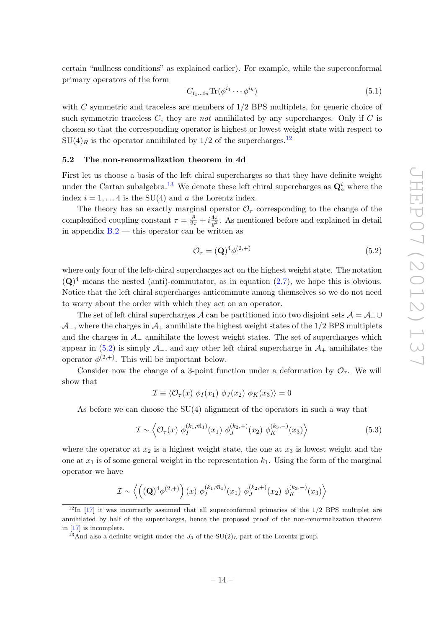certain "nullness conditions" as explained earlier). For example, while the superconformal primary operators of the form

$$
C_{i_1\ldots i_n} \text{Tr}(\phi^{i_1} \cdots \phi^{i_k})
$$
\n<sup>(5.1)</sup>

with C symmetric and traceless are members of  $1/2$  BPS multiplets, for generic choice of such symmetric traceless  $C$ , they are not annihilated by any supercharges. Only if  $C$  is chosen so that the corresponding operator is highest or lowest weight state with respect to  $SU(4)_R$  is the operator annihilated by 1/2 of the supercharges.<sup>[12](#page-15-1)</sup>

#### <span id="page-15-0"></span>5.2 The non-renormalization theorem in 4d

First let us choose a basis of the left chiral supercharges so that they have definite weight under the Cartan subalgebra.<sup>[13](#page-15-2)</sup> We denote these left chiral supercharges as  $\mathbf{Q}_a^i$  where the index  $i = 1, \ldots 4$  is the SU(4) and a the Lorentz index.

The theory has an exactly marginal operator  $\mathcal{O}_{\tau}$  corresponding to the change of the complexified coupling constant  $\tau = \frac{\theta}{2\pi} + i \frac{4\pi}{g^2}$  $\frac{4\pi}{g^2}$ . As mentioned before and explained in detail in appendix  $B.2$  — this operator can be written as

<span id="page-15-3"></span>
$$
\mathcal{O}_{\tau} = (\mathbf{Q})^4 \phi^{(2, +)} \tag{5.2}
$$

where only four of the left-chiral supercharges act on the highest weight state. The notation  $(Q)^4$  means the nested (anti)-commutator, as in equation [\(2.7\)](#page-8-3), we hope this is obvious. Notice that the left chiral supercharges anticommute among themselves so we do not need to worry about the order with which they act on an operator.

The set of left chiral supercharges A can be partitioned into two disjoint sets  $\mathcal{A} = \mathcal{A}_{+} \cup$  $\mathcal{A}_-$ , where the charges in  $\mathcal{A}_+$  annihilate the highest weight states of the 1/2 BPS multiplets and the charges in  $\mathcal{A}_-$  annihilate the lowest weight states. The set of supercharges which appear in [\(5.2\)](#page-15-3) is simply  $\mathcal{A}_-$ , and any other left chiral supercharge in  $\mathcal{A}_+$  annihilates the operator  $\phi^{(2,+)}$ . This will be important below.

Consider now the change of a 3-point function under a deformation by  $\mathcal{O}_{\tau}$ . We will show that

$$
\mathcal{I} \equiv \langle \mathcal{O}_{\tau}(x) \; \phi_I(x_1) \; \phi_J(x_2) \; \phi_K(x_3) \rangle = 0
$$

As before we can choose the SU(4) alignment of the operators in such a way that

$$
\mathcal{I} \sim \left\langle \mathcal{O}_{\tau}(x) \; \phi_{I}^{(k_1, \vec{m}_1)}(x_1) \; \phi_{J}^{(k_2, +)}(x_2) \; \phi_{K}^{(k_3, -)}(x_3) \right\rangle \tag{5.3}
$$

where the operator at  $x_2$  is a highest weight state, the one at  $x_3$  is lowest weight and the one at  $x_1$  is of some general weight in the representation  $k_1$ . Using the form of the marginal operator we have

$$
\mathcal{I} \sim \left\langle \left( (\mathbf{Q})^4 \phi^{(2,+)} \right) (x) \phi_I^{(k_1, \vec{m}_1)}(x_1) \phi_J^{(k_2, +)}(x_2) \phi_K^{(k_3, -)}(x_3) \right\rangle
$$

<span id="page-15-1"></span> $12 \text{ In } [17]$  $12 \text{ In } [17]$  $12 \text{ In } [17]$  it was incorrectly assumed that all superconformal primaries of the 1/2 BPS multiplet are annihilated by half of the supercharges, hence the proposed proof of the non-renormalization theorem in [\[17\]](#page-27-8) is incomplete.

<span id="page-15-2"></span><sup>&</sup>lt;sup>13</sup>And also a definite weight under the  $J_3$  of the SU(2)<sub>L</sub> part of the Lorentz group.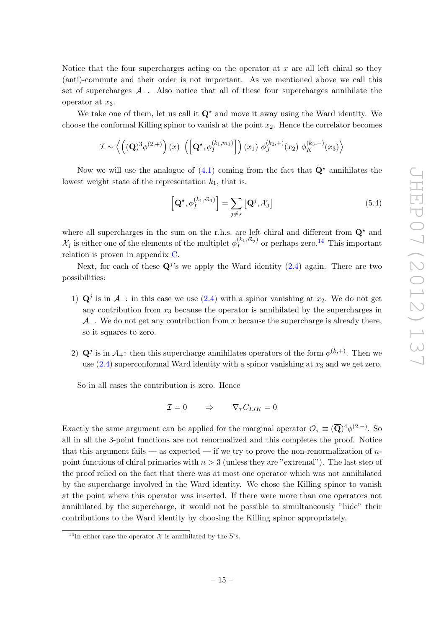Notice that the four supercharges acting on the operator at  $x$  are all left chiral so they (anti)-commute and their order is not important. As we mentioned above we call this set of supercharges  $A_-\$ . Also notice that all of these four supercharges annihilate the operator at  $x_3$ .

We take one of them, let us call it  $\mathbf{Q}^{\star}$  and move it away using the Ward identity. We choose the conformal Killing spinor to vanish at the point  $x_2$ . Hence the correlator becomes

$$
\mathcal{I} \sim \left\langle \left( (\mathbf{Q})^3 \phi^{(2,+)} \right) (x) \left( \left[ \mathbf{Q}^{\star}, \phi_I^{(k_1, m_1)} \right] \right) (x_1) \phi_J^{(k_2, +)}(x_2) \phi_K^{(k_3, -)}(x_3) \right\rangle
$$

Now we will use the analogue of  $(4.1)$  coming from the fact that  $\mathbf{Q}^*$  annihilates the lowest weight state of the representation  $k_1$ , that is.

<span id="page-16-1"></span>
$$
\left[\mathbf{Q}^{\star}, \phi_{I}^{(k_1, \vec{m}_1)}\right] = \sum_{j \neq \star} \left[\mathbf{Q}^j, \mathcal{X}_j\right]
$$
\n(5.4)

where all supercharges in the sum on the r.h.s. are left chiral and different from  $\mathbf{Q}^{\star}$  and  $\mathcal{X}_j$  is either one of the elements of the multiplet  $\phi_I^{(k_1, \vec{m}_j)}$  $I_I^{(k_1,m_j)}$  or perhaps zero.<sup>[14](#page-16-0)</sup> This important relation is proven in appendix [C.](#page-25-0)

Next, for each of these  $\mathbf{Q}^j$ 's we apply the Ward identity  $(2.4)$  again. There are two possibilities:

- 1)  $\mathbf{Q}^j$  is in  $\mathcal{A}_-$ : in this case we use [\(2.4\)](#page-6-1) with a spinor vanishing at  $x_2$ . We do not get any contribution from  $x_3$  because the operator is annihilated by the supercharges in  $\mathcal{A}_-$ . We do not get any contribution from x because the supercharge is already there, so it squares to zero.
- 2)  $\mathbf{Q}^j$  is in  $\mathcal{A}_+$ : then this supercharge annihilates operators of the form  $\phi^{(k,+)}$ . Then we use  $(2.4)$  superconformal Ward identity with a spinor vanishing at  $x_3$  and we get zero.

So in all cases the contribution is zero. Hence

$$
\mathcal{I} = 0 \qquad \Rightarrow \qquad \nabla_{\tau} C_{IJK} = 0
$$

Exactly the same argument can be applied for the marginal operator  $\overline{\mathcal{O}}_{\tau} \equiv (\overline{\mathbf{Q}})^4 \phi^{(2,-)}$ . So all in all the 3-point functions are not renormalized and this completes the proof. Notice that this argument fails — as expected — if we try to prove the non-renormalization of  $n$ point functions of chiral primaries with  $n > 3$  (unless they are "extremal"). The last step of the proof relied on the fact that there was at most one operator which was not annihilated by the supercharge involved in the Ward identity. We chose the Killing spinor to vanish at the point where this operator was inserted. If there were more than one operators not annihilated by the supercharge, it would not be possible to simultaneously "hide" their contributions to the Ward identity by choosing the Killing spinor appropriately.

<span id="page-16-0"></span><sup>&</sup>lt;sup>14</sup>In either case the operator X is annihilated by the  $\overline{S}$ 's.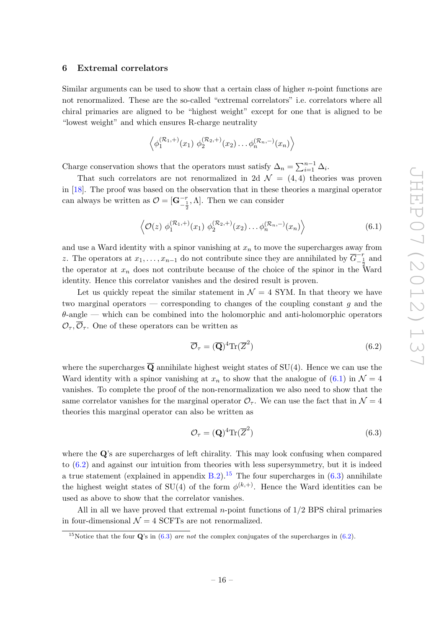#### <span id="page-17-0"></span>6 Extremal correlators

Similar arguments can be used to show that a certain class of higher  $n$ -point functions are not renormalized. These are the so-called "extremal correlators" i.e. correlators where all chiral primaries are aligned to be "highest weight" except for one that is aligned to be "lowest weight" and which ensures R-charge neutrality

$$
\left\langle \phi_1^{(\mathcal{R}_1, +)}(x_1) \phi_2^{(\mathcal{R}_2, +)}(x_2) \dots \phi_n^{(\mathcal{R}_n, -)}(x_n) \right\rangle
$$

Charge conservation shows that the operators must satisfy  $\Delta_n = \sum_{i=1}^{n-1} \Delta_i$ .

That such correlators are not renormalized in 2d  $\mathcal{N} = (4, 4)$  theories was proven in [\[18\]](#page-28-0). The proof was based on the observation that in these theories a marginal operator can always be written as  $\mathcal{O} = [\mathbf{G}_{-\frac{1}{2}}^{-r}, \Lambda]$ . Then we can consider

<span id="page-17-1"></span>
$$
\langle \mathcal{O}(z) \phi_1^{(\mathcal{R}_1, +)}(x_1) \phi_2^{(\mathcal{R}_2, +)}(x_2) \dots \phi_n^{(\mathcal{R}_n, -)}(x_n) \rangle
$$
 (6.1)

and use a Ward identity with a spinor vanishing at  $x_n$  to move the supercharges away from z. The operators at  $x_1, \ldots, x_{n-1}$  do not contribute since they are annihilated by  $\overline{G}^{-r}_{-\frac{1}{2}}$  and the operator at  $x_n$  does not contribute because of the choice of the spinor in the Ward identity. Hence this correlator vanishes and the desired result is proven.

Let us quickly repeat the similar statement in  $\mathcal{N} = 4$  SYM. In that theory we have two marginal operators  $-$  corresponding to changes of the coupling constant g and the  $\theta$ -angle — which can be combined into the holomorphic and anti-holomorphic operators  $\mathcal{O}_{\tau}, \overline{\mathcal{O}}_{\tau}$ . One of these operators can be written as

<span id="page-17-2"></span>
$$
\overline{\mathcal{O}}_{\tau} = (\overline{\mathbf{Q}})^{4} \text{Tr}(\overline{Z}^{2})
$$
\n(6.2)

where the supercharges  $\overline{Q}$  annihilate highest weight states of SU(4). Hence we can use the Ward identity with a spinor vanishing at  $x_n$  to show that the analogue of [\(6.1\)](#page-17-1) in  $\mathcal{N} = 4$ vanishes. To complete the proof of the non-renormalization we also need to show that the same correlator vanishes for the marginal operator  $\mathcal{O}_{\tau}$ . We can use the fact that in  $\mathcal{N}=4$ theories this marginal operator can also be written as

<span id="page-17-4"></span>
$$
\mathcal{O}_{\tau} = (\mathbf{Q})^4 \text{Tr}(\overline{Z}^2)
$$
\n(6.3)

where the Q's are supercharges of left chirality. This may look confusing when compared to [\(6.2\)](#page-17-2) and against our intuition from theories with less supersymmetry, but it is indeed a true statement (explained in appendix [B.2\)](#page-24-0).<sup>[15](#page-17-3)</sup> The four supercharges in  $(6.3)$  annihilate the highest weight states of SU(4) of the form  $\phi^{(k,+)}$ . Hence the Ward identities can be used as above to show that the correlator vanishes.

All in all we have proved that extremal n-point functions of 1/2 BPS chiral primaries in four-dimensional  $\mathcal{N} = 4$  SCFTs are not renormalized.

<span id="page-17-3"></span><sup>&</sup>lt;sup>15</sup>Notice that the four  $\mathbf{Q}'s$  in [\(6.3\)](#page-17-4) are not the complex conjugates of the supercharges in [\(6.2\)](#page-17-2).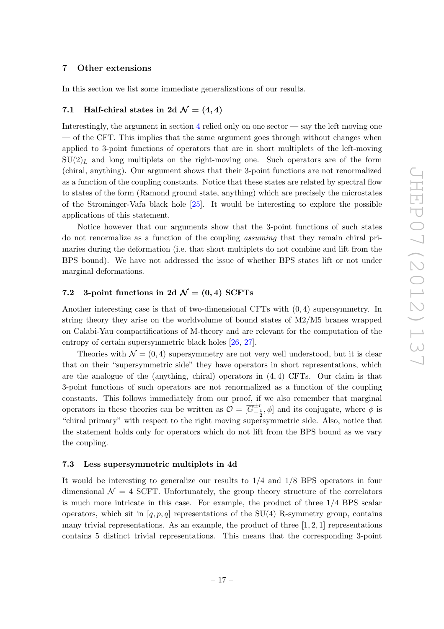#### <span id="page-18-0"></span>7 Other extensions

<span id="page-18-1"></span>In this section we list some immediate generalizations of our results.

### 7.1 Half-chiral states in 2d  $\mathcal{N} = (4, 4)$

Interestingly, the argument in section  $4$  relied only on one sector — say the left moving one — of the CFT. This implies that the same argument goes through without changes when applied to 3-point functions of operators that are in short multiplets of the left-moving  $SU(2)<sub>L</sub>$  and long multiplets on the right-moving one. Such operators are of the form (chiral, anything). Our argument shows that their 3-point functions are not renormalized as a function of the coupling constants. Notice that these states are related by spectral flow to states of the form (Ramond ground state, anything) which are precisely the microstates of the Strominger-Vafa black hole [\[25](#page-28-7)]. It would be interesting to explore the possible applications of this statement.

Notice however that our arguments show that the 3-point functions of such states do not renormalize as a function of the coupling assuming that they remain chiral primaries during the deformation (i.e. that short multiplets do not combine and lift from the BPS bound). We have not addressed the issue of whether BPS states lift or not under marginal deformations.

## <span id="page-18-2"></span>7.2 3-point functions in 2d  $\mathcal{N} = (0, 4)$  SCFTs

Another interesting case is that of two-dimensional CFTs with (0, 4) supersymmetry. In string theory they arise on the worldvolume of bound states of M2/M5 branes wrapped on Calabi-Yau compactifications of M-theory and are relevant for the computation of the entropy of certain supersymmetric black holes [\[26,](#page-28-8) [27](#page-28-9)].

Theories with  $\mathcal{N} = (0, 4)$  supersymmetry are not very well understood, but it is clear that on their "supersymmetric side" they have operators in short representations, which are the analogue of the (anything, chiral) operators in  $(4, 4)$  CFTs. Our claim is that 3-point functions of such operators are not renormalized as a function of the coupling constants. This follows immediately from our proof, if we also remember that marginal operators in these theories can be written as  $\mathcal{O} = [\overline{G}_{-\frac{1}{2}}^{+\frac{1}{2}}, \phi]$  and its conjugate, where  $\phi$  is "chiral primary" with respect to the right moving supersymmetric side. Also, notice that the statement holds only for operators which do not lift from the BPS bound as we vary the coupling.

#### <span id="page-18-3"></span>7.3 Less supersymmetric multiplets in 4d

It would be interesting to generalize our results to 1/4 and 1/8 BPS operators in four dimensional  $\mathcal{N} = 4$  SCFT. Unfortunately, the group theory structure of the correlators is much more intricate in this case. For example, the product of three 1/4 BPS scalar operators, which sit in  $[q, p, q]$  representations of the SU(4) R-symmetry group, contains many trivial representations. As an example, the product of three  $[1, 2, 1]$  representations contains 5 distinct trivial representations. This means that the corresponding 3-point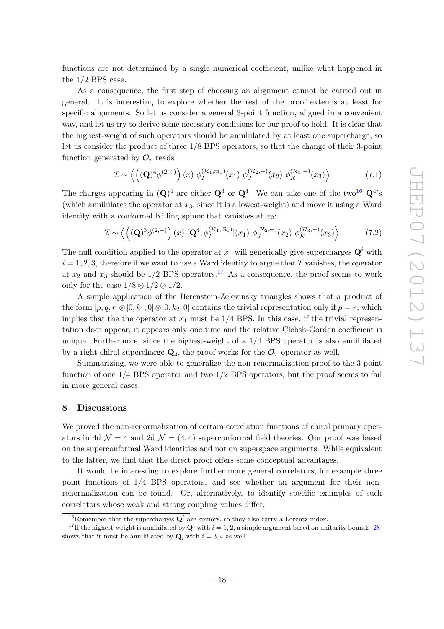functions are not determined by a single numerical coefficient, unlike what happened in the 1/2 BPS case.

As a consequence, the first step of choosing an alignment cannot be carried out in general. It is interesting to explore whether the rest of the proof extends at least for specific alignments. So let us consider a general 3-point function, aligned in a convenient way, and let us try to derive some necessary conditions for our proof to hold. It is clear that the highest-weight of such operators should be annihilated by at least one supercharge, so let us consider the product of three 1/8 BPS operators, so that the change of their 3-point function generated by  $\mathcal{O}_{\tau}$  reads

$$
\mathcal{I} \sim \left\langle \left( (\mathbf{Q})^4 \phi^{(2,+)} \right) (x) \phi_I^{(\mathcal{R}_1, \vec{m}_1)}(x_1) \phi_J^{(\mathcal{R}_2, +)}(x_2) \phi_K^{(\mathcal{R}_3, -)}(x_3) \right\rangle \tag{7.1}
$$

The charges appearing in  $(Q)^4$  are either  $Q^3$  or  $Q^4$ . We can take one of the two<sup>[16](#page-19-1)</sup>  $Q^4$ 's (which annihilates the operator at  $x_3$ , since it is a lowest-weight) and move it using a Ward identity with a conformal Killing spinor that vanishes at  $x_2$ :

$$
\mathcal{I} \sim \left\langle \left( (\mathbf{Q})^3 \phi^{(2,+)} \right) (x) \left[ \mathbf{Q}^4, \phi_I^{(\mathcal{R}_1, \vec{m}_1)} \right] (x_1) \phi_J^{(\mathcal{R}_2, +)} (x_2) \phi_K^{(\mathcal{R}_3, -)} (x_3) \right\rangle \tag{7.2}
$$

The null condition applied to the operator at  $x_1$  will generically give supercharges  $\mathbf{Q}^i$  with  $i = 1, 2, 3$ , therefore if we want to use a Ward identity to argue that  $\mathcal I$  vanishes, the operator at  $x_2$  and  $x_3$  should be 1/2 BPS operators.<sup>[17](#page-19-2)</sup> As a consequence, the proof seems to work only for the case  $1/8 \otimes 1/2 \otimes 1/2$ .

A simple application of the Berenstein-Zelevinsky triangles shows that a product of the form  $[p, q, r] \otimes [0, k_1, 0] \otimes [0, k_2, 0]$  contains the trivial representation only if  $p = r$ , which implies that the the operator at  $x_1$  must be  $1/4$  BPS. In this case, if the trivial representation does appear, it appears only one time and the relative Clebsh-Gordan coefficient is unique. Furthermore, since the highest-weight of a 1/4 BPS operator is also annihilated by a right chiral supercharge  $\mathbf{Q}_4$ , the proof works for the  $\mathcal{O}_\tau$  operator as well.

Summarizing, we were able to generalize the non-renormalization proof to the 3-point function of one  $1/4$  BPS operator and two  $1/2$  BPS operators, but the proof seems to fail in more general cases.

#### <span id="page-19-0"></span>8 Discussions

We proved the non-renormalization of certain correlation functions of chiral primary operators in 4d  $\mathcal{N} = 4$  and 2d  $\mathcal{N} = (4, 4)$  superconformal field theories. Our proof was based on the superconformal Ward identities and not on superspace arguments. While equivalent to the latter, we find that the direct proof offers some conceptual advantages.

It would be interesting to explore further more general correlators, for example three point functions of 1/4 BPS operators, and see whether an argument for their nonrenormalization can be found. Or, alternatively, to identify specific examples of such correlators whose weak and strong coupling values differ.

<span id="page-19-1"></span><sup>&</sup>lt;sup>16</sup>Remember that the supercharges  $\mathbf{Q}^i$  are spinors, so they also carry a Lorentz index.

<span id="page-19-2"></span><sup>&</sup>lt;sup>17</sup>If the highest-weight is annihilated by  $\mathbf{Q}^i$  with  $i = 1, 2$ , a simple argument based on unitarity bounds [\[28](#page-28-10)] shows that it must be annihilated by  $\overline{Q}_i$  with  $i = 3, 4$  as well.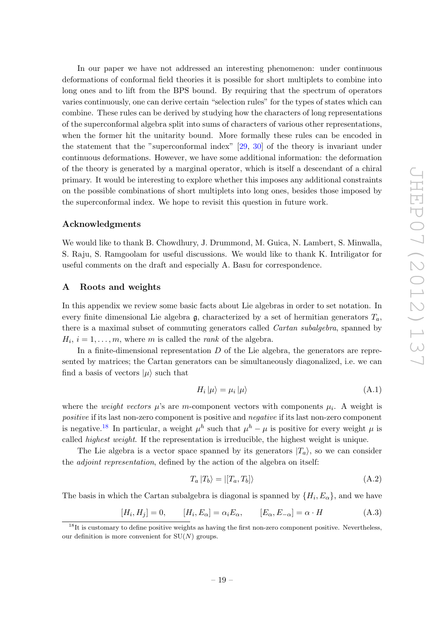In our paper we have not addressed an interesting phenomenon: under continuous deformations of conformal field theories it is possible for short multiplets to combine into long ones and to lift from the BPS bound. By requiring that the spectrum of operators varies continuously, one can derive certain "selection rules" for the types of states which can combine. These rules can be derived by studying how the characters of long representations of the superconformal algebra split into sums of characters of various other representations, when the former hit the unitarity bound. More formally these rules can be encoded in the statement that the "superconformal index" [\[29,](#page-28-11) [30](#page-28-12)] of the theory is invariant under continuous deformations. However, we have some additional information: the deformation of the theory is generated by a marginal operator, which is itself a descendant of a chiral primary. It would be interesting to explore whether this imposes any additional constraints on the possible combinations of short multiplets into long ones, besides those imposed by the superconformal index. We hope to revisit this question in future work.

#### Acknowledgments

We would like to thank B. Chowdhury, J. Drummond, M. Guica, N. Lambert, S. Minwalla, S. Raju, S. Ramgoolam for useful discussions. We would like to thank K. Intriligator for useful comments on the draft and especially A. Basu for correspondence.

#### <span id="page-20-0"></span>A Roots and weights

In this appendix we review some basic facts about Lie algebras in order to set notation. In every finite dimensional Lie algebra  $\mathfrak{g}$ , characterized by a set of hermitian generators  $T_a$ , there is a maximal subset of commuting generators called Cartan subalgebra, spanned by  $H_i$ ,  $i = 1, \ldots, m$ , where m is called the *rank* of the algebra.

In a finite-dimensional representation  $D$  of the Lie algebra, the generators are represented by matrices; the Cartan generators can be simultaneously diagonalized, i.e. we can find a basis of vectors  $|\mu\rangle$  such that

$$
H_i |\mu\rangle = \mu_i |\mu\rangle \tag{A.1}
$$

where the *weight vectors*  $\mu$ 's are m-component vectors with components  $\mu_i$ . A weight is positive if its last non-zero component is positive and negative if its last non-zero component is negative.<sup>[18](#page-20-1)</sup> In particular, a weight  $\mu^h$  such that  $\mu^h - \mu$  is positive for every weight  $\mu$  is called highest weight. If the representation is irreducible, the highest weight is unique.

The Lie algebra is a vector space spanned by its generators  $|T_a\rangle$ , so we can consider the adjoint representation, defined by the action of the algebra on itself:

$$
T_a | T_b \rangle = | [T_a, T_b] \rangle \tag{A.2}
$$

The basis in which the Cartan subalgebra is diagonal is spanned by  $\{H_i, E_\alpha\}$ , and we have

$$
[H_i, H_j] = 0, \qquad [H_i, E_\alpha] = \alpha_i E_\alpha, \qquad [E_\alpha, E_{-\alpha}] = \alpha \cdot H \tag{A.3}
$$

<span id="page-20-1"></span> $18$ It is customary to define positive weights as having the first non-zero component positive. Nevertheless, our definition is more convenient for  $SU(N)$  groups.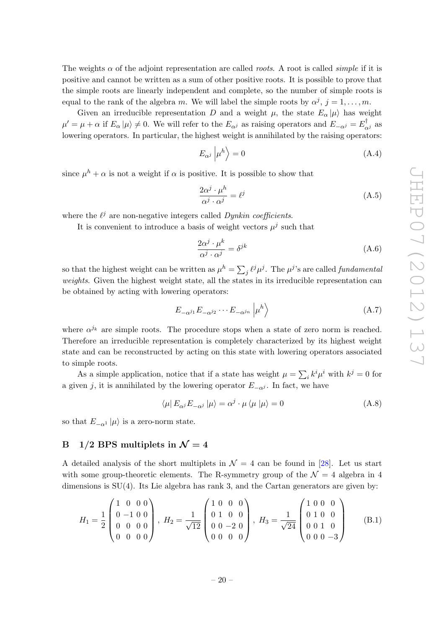The weights  $\alpha$  of the adjoint representation are called *roots*. A root is called *simple* if it is positive and cannot be written as a sum of other positive roots. It is possible to prove that the simple roots are linearly independent and complete, so the number of simple roots is equal to the rank of the algebra m. We will label the simple roots by  $\alpha^j$ ,  $j = 1, \ldots, m$ .

Given an irreducible representation D and a weight  $\mu$ , the state  $E_{\alpha}|\mu\rangle$  has weight  $\mu' = \mu + \alpha$  if  $E_{\alpha} | \mu \rangle \neq 0$ . We will refer to the  $E_{\alpha^j}$  as raising operators and  $E_{-\alpha^j} = E_{\alpha^j}^{\dagger}$  as lowering operators. In particular, the highest weight is annihilated by the raising operators:

$$
E_{\alpha^j} \left| \mu^h \right\rangle = 0 \tag{A.4}
$$

since  $\mu^h + \alpha$  is not a weight if  $\alpha$  is positive. It is possible to show that

$$
\frac{2\alpha^j \cdot \mu^h}{\alpha^j \cdot \alpha^j} = \ell^j \tag{A.5}
$$

where the  $\ell^j$  are non-negative integers called Dynkin coefficients.

It is convenient to introduce a basis of weight vectors  $\mu^{j}$  such that

$$
\frac{2\alpha^j \cdot \mu^k}{\alpha^j \cdot \alpha^j} = \delta^{jk} \tag{A.6}
$$

so that the highest weight can be written as  $\mu^h = \sum_j \ell^j \mu^j$ . The  $\mu^j$ 's are called *fundamental* weights. Given the highest weight state, all the states in its irreducible representation can be obtained by acting with lowering operators:

$$
E_{-\alpha^{j_1}} E_{-\alpha^{j_2}} \cdots E_{-\alpha^{j_n}} \left| \mu^h \right\rangle \tag{A.7}
$$

where  $\alpha^{j_k}$  are simple roots. The procedure stops when a state of zero norm is reached. Therefore an irreducible representation is completely characterized by its highest weight state and can be reconstructed by acting on this state with lowering operators associated to simple roots.

As a simple application, notice that if a state has weight  $\mu = \sum_i k^i \mu^i$  with  $k^j = 0$  for a given j, it is annihilated by the lowering operator  $E_{-\alpha j}$ . In fact, we have

<span id="page-21-1"></span>
$$
\langle \mu | E_{\alpha^j} E_{-\alpha^j} | \mu \rangle = \alpha^j \cdot \mu \langle \mu | \mu \rangle = 0
$$
\n(A.8)

so that  $E_{-\alpha^1}|\mu\rangle$  is a zero-norm state.

### <span id="page-21-0"></span>B 1/2 BPS multiplets in  $\mathcal{N} = 4$

A detailed analysis of the short multiplets in  $\mathcal{N} = 4$  can be found in [\[28\]](#page-28-10). Let us start with some group-theoretic elements. The R-symmetry group of the  $\mathcal{N}=4$  algebra in 4 dimensions is  $SU(4)$ . Its Lie algebra has rank 3, and the Cartan generators are given by:

$$
H_1 = \frac{1}{2} \begin{pmatrix} 1 & 0 & 0 & 0 \\ 0 & -1 & 0 & 0 \\ 0 & 0 & 0 & 0 \\ 0 & 0 & 0 & 0 \end{pmatrix}, H_2 = \frac{1}{\sqrt{12}} \begin{pmatrix} 1 & 0 & 0 & 0 \\ 0 & 1 & 0 & 0 \\ 0 & 0 & -2 & 0 \\ 0 & 0 & 0 & 0 \end{pmatrix}, H_3 = \frac{1}{\sqrt{24}} \begin{pmatrix} 1 & 0 & 0 & 0 \\ 0 & 1 & 0 & 0 \\ 0 & 0 & 1 & 0 \\ 0 & 0 & 0 & -3 \end{pmatrix}
$$
(B.1)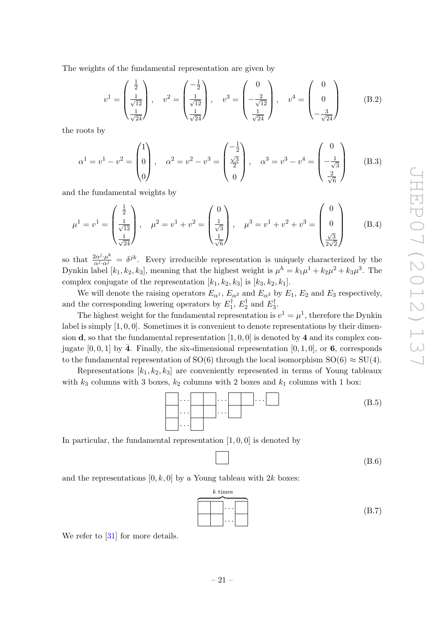The weights of the fundamental representation are given by

<span id="page-22-0"></span>
$$
v^{1} = \begin{pmatrix} \frac{1}{2} \\ \frac{1}{\sqrt{12}} \\ \frac{1}{\sqrt{24}} \end{pmatrix}, \quad v^{2} = \begin{pmatrix} -\frac{1}{2} \\ \frac{1}{\sqrt{12}} \\ \frac{1}{\sqrt{24}} \end{pmatrix}, \quad v^{3} = \begin{pmatrix} 0 \\ -\frac{2}{\sqrt{12}} \\ \frac{1}{\sqrt{24}} \end{pmatrix}, \quad v^{4} = \begin{pmatrix} 0 \\ 0 \\ -\frac{3}{\sqrt{24}} \end{pmatrix}
$$
(B.2)

the roots by

$$
\alpha^{1} = v^{1} - v^{2} = \begin{pmatrix} 1 \\ 0 \\ 0 \end{pmatrix}, \quad \alpha^{2} = v^{2} - v^{3} = \begin{pmatrix} -\frac{1}{2} \\ \frac{\sqrt{3}}{2} \\ 0 \end{pmatrix}, \quad \alpha^{3} = v^{3} - v^{4} = \begin{pmatrix} 0 \\ -\frac{1}{\sqrt{3}} \\ \frac{2}{\sqrt{6}} \end{pmatrix}
$$
(B.3)

and the fundamental weights by

$$
\mu^{1} = v^{1} = \begin{pmatrix} \frac{1}{2} \\ \frac{1}{\sqrt{12}} \\ \frac{1}{\sqrt{24}} \end{pmatrix}, \quad \mu^{2} = v^{1} + v^{2} = \begin{pmatrix} 0 \\ \frac{1}{\sqrt{3}} \\ \frac{1}{\sqrt{6}} \end{pmatrix}, \quad \mu^{3} = v^{1} + v^{2} + v^{3} = \begin{pmatrix} 0 \\ 0 \\ \frac{\sqrt{3}}{2\sqrt{2}} \end{pmatrix}
$$
(B.4)

so that  $\frac{2\alpha^j \cdot \mu^k}{\alpha^j \cdot \alpha^j} = \delta^{jk}$ . Every irreducible representation is uniquely characterized by the Dynkin label  $[k_1, k_2, k_3]$ , meaning that the highest weight is  $\mu^h = k_1 \mu^1 + k_2 \mu^2 + k_3 \mu^3$ . The complex conjugate of the representation  $[k_1, k_2, k_3]$  is  $[k_3, k_2, k_1]$ .

We will denote the raising operators  $E_{\alpha^1}$ ,  $E_{\alpha^2}$  and  $E_{\alpha^3}$  by  $E_1$ ,  $E_2$  and  $E_3$  respectively, and the corresponding lowering operators by  $E_1^{\dagger}$ ,  $E_2^{\dagger}$  and  $E_3^{\dagger}$ .

The highest weight for the fundamental representation is  $v^1 = \mu^1$ , therefore the Dynkin label is simply  $[1, 0, 0]$ . Sometimes it is convenient to denote representations by their dimension **d**, so that the fundamental representation  $[1, 0, 0]$  is denoted by 4 and its complex conjugate [0, 0, 1] by  $\bar{4}$ . Finally, the six-dimensional representation [0, 1, 0], or 6, corresponds to the fundamental representation of SO(6) through the local isomorphism  $SO(6) \approx SU(4)$ .

Representations  $[k_1, k_2, k_3]$  are conveniently represented in terms of Young tableaux with  $k_3$  columns with 3 boxes,  $k_2$  columns with 2 boxes and  $k_1$  columns with 1 box:



In particular, the fundamental representation  $[1, 0, 0]$  is denoted by

$$
(B.6)
$$

and the representations  $[0, k, 0]$  by a Young tableau with 2k boxes:

$$
\begin{array}{|c|c|}\n\hline\nk \text{ times} \\
\hline\n\vdots \\
\hline\n\vdots \\
\hline\n\end{array}
$$
 (B.7)

We refer to [\[31\]](#page-28-13) for more details.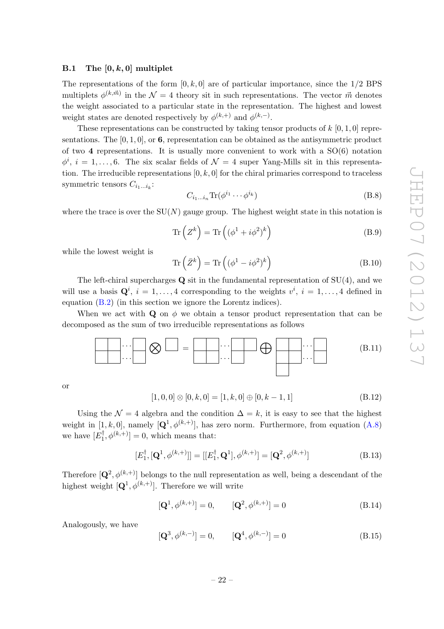#### <span id="page-23-0"></span>B.1 The  $[0, k, 0]$  multiplet

The representations of the form  $[0, k, 0]$  are of particular importance, since the  $1/2$  BPS multiplets  $\phi^{(k,\vec{m})}$  in the  $\mathcal{N}=4$  theory sit in such representations. The vector  $\vec{m}$  denotes the weight associated to a particular state in the representation. The highest and lowest weight states are denoted respectively by  $\phi^{(k,+)}$  and  $\phi^{(k,-)}$ .

These representations can be constructed by taking tensor products of  $k$  [0, 1, 0] representations. The  $[0, 1, 0]$ , or 6, representation can be obtained as the antisymmetric product of two 4 representations. It is usually more convenient to work with a  $SO(6)$  notation  $\phi^i$ ,  $i = 1, \ldots, 6$ . The six scalar fields of  $\mathcal{N} = 4$  super Yang-Mills sit in this representation. The irreducible representations  $[0, k, 0]$  for the chiral primaries correspond to traceless symmetric tensors  $C_{i_1...i_k}$ :

$$
C_{i_1\ldots i_n} \text{Tr}(\phi^{i_1} \cdots \phi^{i_k})
$$
 (B.8)

where the trace is over the  $SU(N)$  gauge group. The highest weight state in this notation is

$$
\operatorname{Tr}\left(Z^k\right) = \operatorname{Tr}\left((\phi^1 + i\phi^2)^k\right) \tag{B.9}
$$

while the lowest weight is

$$
\operatorname{Tr}\left(\bar{Z}^k\right) = \operatorname{Tr}\left((\phi^1 - i\phi^2)^k\right) \tag{B.10}
$$

The left-chiral supercharges  $\bf{Q}$  sit in the fundamental representation of  $SU(4)$ , and we will use a basis  $\mathbf{Q}^i$ ,  $i = 1, ..., 4$  corresponding to the weights  $v^i$ ,  $i = 1, ..., 4$  defined in equation [\(B.2\)](#page-22-0) (in this section we ignore the Lorentz indices).

When we act with Q on  $\phi$  we obtain a tensor product representation that can be decomposed as the sum of two irreducible representations as follows

$$
\underbrace{\left\{\cdots\right\}\right\} \otimes \underbrace{\frown\bigcirc} = \underbrace{\frown\bigcirc\cdots\bigcirc\bigcirc}\oplus \underbrace{\frown\bigcirc\cdots\bigcirc}\bigcirc \qquad (B.11)
$$

or

$$
[1,0,0] \otimes [0,k,0] = [1,k,0] \oplus [0,k-1,1] \tag{B.12}
$$

Using the  $\mathcal{N} = 4$  algebra and the condition  $\Delta = k$ , it is easy to see that the highest weight in [1, k, 0], namely  $[Q^1, \phi^{(k,+)}]$ , has zero norm. Furthermore, from equation [\(A.8\)](#page-21-1) we have  $[E_1^{\dagger}, \phi^{(k,+)}] = 0$ , which means that:

$$
[E_1^{\dagger}, [\mathbf{Q}^1, \phi^{(k,+)}]] = [[E_1^{\dagger}, \mathbf{Q}^1], \phi^{(k,+)}] = [\mathbf{Q}^2, \phi^{(k,+)}]
$$
(B.13)

Therefore  $[Q^2, \phi^{(k,+)}]$  belongs to the null representation as well, being a descendant of the highest weight  $[Q^1, \phi^{(k,+)}]$ . Therefore we will write

$$
[\mathbf{Q}^1, \phi^{(k, +)}] = 0, \qquad [\mathbf{Q}^2, \phi^{(k, +)}] = 0 \tag{B.14}
$$

Analogously, we have

$$
[\mathbf{Q}^3, \phi^{(k,-)}] = 0, \qquad [\mathbf{Q}^4, \phi^{(k,-)}] = 0 \tag{B.15}
$$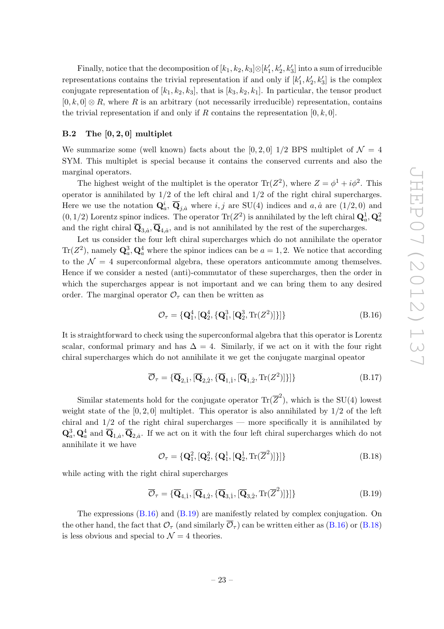Finally, notice that the decomposition of  $[k_1, k_2, k_3] \otimes [k'_1, k'_2, k'_3]$  into a sum of irreducible representations contains the trivial representation if and only if  $[k'_1, k'_2, k'_3]$  is the complex conjugate representation of  $[k_1, k_2, k_3]$ , that is  $[k_3, k_2, k_1]$ . In particular, the tensor product  $[0, k, 0] \otimes R$ , where R is an arbitrary (not necessarily irreducible) representation, contains the trivial representation if and only if R contains the representation  $[0, k, 0]$ .

### <span id="page-24-0"></span>B.2 The [0, 2, 0] multiplet

We summarize some (well known) facts about the [0, 2, 0]  $1/2$  BPS multiplet of  $\mathcal{N} = 4$ SYM. This multiplet is special because it contains the conserved currents and also the marginal operators.

The highest weight of the multiplet is the operator  $\text{Tr}(Z^2)$ , where  $Z = \phi^1 + i\phi^2$ . This operator is annihilated by  $1/2$  of the left chiral and  $1/2$  of the right chiral supercharges. Here we use the notation  $\mathbf{Q}_a^i$ ,  $\overline{\mathbf{Q}}_{j,\dot{a}}$  where  $i, j$  are SU(4) indices and  $a, \dot{a}$  are  $(1/2, 0)$  and  $(0, 1/2)$  Lorentz spinor indices. The operator  $\text{Tr}(Z^2)$  is annihilated by the left chiral  $\mathbf{Q}_a^1, \mathbf{Q}_a^2$ and the right chiral  $\mathbf{Q}_{3,a}, \mathbf{Q}_{4,a}$ , and is not annihilated by the rest of the supercharges.

Let us consider the four left chiral supercharges which do not annihilate the operator  $\text{Tr}(Z^2)$ , namely  $\mathbf{Q}_a^3$ ,  $\mathbf{Q}_a^4$  where the spinor indices can be  $a = 1, 2$ . We notice that according to the  $\mathcal{N} = 4$  superconformal algebra, these operators anticommute among themselves. Hence if we consider a nested (anti)-commutator of these supercharges, then the order in which the supercharges appear is not important and we can bring them to any desired order. The marginal operator  $\mathcal{O}_{\tau}$  can then be written as

<span id="page-24-1"></span>
$$
\mathcal{O}_{\tau} = \{ \mathbf{Q}_1^4, [\mathbf{Q}_2^4, {\mathbf{Q}_1^3, [\mathbf{Q}_2^3, \text{Tr}(Z^2)]}]\} \tag{B.16}
$$

It is straightforward to check using the superconformal algebra that this operator is Lorentz scalar, conformal primary and has  $\Delta = 4$ . Similarly, if we act on it with the four right chiral supercharges which do not annihilate it we get the conjugate marginal opeator

$$
\overline{\mathcal{O}}_{\tau} = \{\overline{\mathbf{Q}}_{2,1}, [\overline{\mathbf{Q}}_{2,2}, {\{\overline{\mathbf{Q}}}_{1,1}, [\overline{\mathbf{Q}}_{1,2}, \text{Tr}(Z^2)]\}] \}
$$
(B.17)

Similar statements hold for the conjugate operator  $\text{Tr}(\overline{Z}^2)$ , which is the SU(4) lowest weight state of the  $[0, 2, 0]$  multiplet. This operator is also annihilated by  $1/2$  of the left chiral and  $1/2$  of the right chiral supercharges — more specifically it is annihilated by  $\mathbf{Q}_a^3$ ,  $\mathbf{Q}_a^4$  and  $\overline{\mathbf{Q}}_{1,a}$ ,  $\overline{\mathbf{Q}}_{2,a}$ . If we act on it with the four left chiral supercharges which do not annihilate it we have

<span id="page-24-3"></span>
$$
\mathcal{O}_{\tau} = \{ \mathbf{Q}_1^2, [\mathbf{Q}_2^2, \{ \mathbf{Q}_1^1, [\mathbf{Q}_2^1, \text{Tr}(\overline{Z}^2)] \} ] \}
$$
(B.18)

while acting with the right chiral supercharges

<span id="page-24-2"></span>
$$
\overline{\mathcal{O}}_{\tau} = {\overline{\mathbf{Q}}}_{4,1}, {\overline{\mathbf{Q}}}_{4,2}, {\overline{\mathbf{Q}}}_{3,1}, {\overline{\mathbf{Q}}}_{3,2}, \text{Tr}(\overline{Z}^2)]\}] \tag{B.19}
$$

The expressions [\(B.16\)](#page-24-1) and [\(B.19\)](#page-24-2) are manifestly related by complex conjugation. On the other hand, the fact that  $\mathcal{O}_{\tau}$  (and similarly  $\overline{\mathcal{O}}_{\tau}$ ) can be written either as [\(B.16\)](#page-24-1) or [\(B.18\)](#page-24-3) is less obvious and special to  $\mathcal{N}=4$  theories.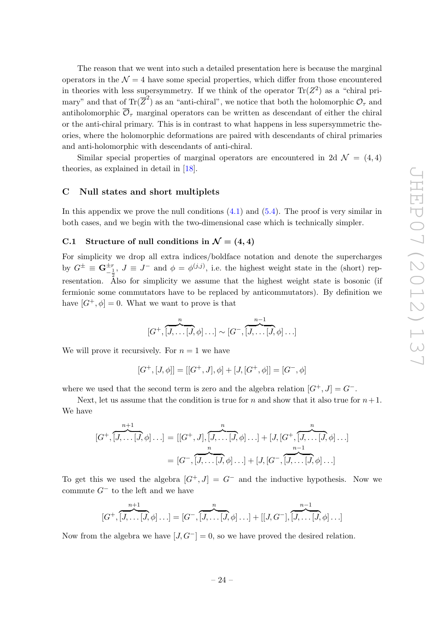The reason that we went into such a detailed presentation here is because the marginal operators in the  $\mathcal{N} = 4$  have some special properties, which differ from those encountered in theories with less supersymmetry. If we think of the operator  $\text{Tr}(Z^2)$  as a "chiral primary" and that of  $\text{Tr}(\overline{Z}^2)$  as an "anti-chiral", we notice that both the holomorphic  $\mathcal{O}_\tau$  and antiholomorphic  $\overline{\mathcal{O}}_{\tau}$  marginal operators can be written as descendant of either the chiral or the anti-chiral primary. This is in contrast to what happens in less supersymmetric theories, where the holomorphic deformations are paired with descendants of chiral primaries and anti-holomorphic with descendants of anti-chiral.

Similar special properties of marginal operators are encountered in 2d  $\mathcal{N} = (4, 4)$ theories, as explained in detail in [\[18\]](#page-28-0).

#### <span id="page-25-0"></span>C Null states and short multiplets

In this appendix we prove the null conditions  $(4.1)$  and  $(5.4)$ . The proof is very similar in both cases, and we begin with the two-dimensional case which is technically simpler.

## <span id="page-25-1"></span>C.1 Structure of null conditions in  $\mathcal{N} = (4, 4)$

For simplicity we drop all extra indices/boldface notation and denote the supercharges by  $G^{\pm} \equiv \mathbf{G}_{-\frac{1}{2}}^{\pm r}$ ,  $J \equiv J^-$  and  $\phi = \phi^{(j,j)}$ , i.e. the highest weight state in the (short) representation. Also for simplicity we assume that the highest weight state is bosonic (if fermionic some commutators have to be replaced by anticommutators). By definition we have  $[G^+,\phi]=0$ . What we want to prove is that

$$
[G^+,\overbrace{[J,\ldots[J,\phi]\ldots]}^{n}\sim[G^-,\overbrace{[J,\ldots[J,\phi]\ldots]}^{n-1}]
$$

We will prove it recursively. For  $n = 1$  we have

$$
[G^+,[J,\phi]] = [[G^+,J],\phi] + [J,[G^+,\phi]] = [G^-,\phi]
$$

where we used that the second term is zero and the algebra relation  $[G^+, J] = G^-$ .

Next, let us assume that the condition is true for n and show that it also true for  $n+1$ . We have

$$
[G^+,\overbrace{[J,\ldots [J,\phi]\ldots]}^{n+1} = [[G^+,J],\overbrace{[J,\ldots [J,\phi]\ldots]}^{n} + [J,[G^+,\overbrace{[J,\ldots [J,\phi]\ldots]}^{n}]
$$

$$
= [G^-,\overbrace{[J,\ldots [J,\phi]\ldots]}^{n} + [J,[G^-,\overbrace{[J,\ldots [J,\phi]\ldots]}^{n-1}]
$$

To get this we used the algebra  $[G^+, J] = G^-$  and the inductive hypothesis. Now we commute  $G^-$  to the left and we have

$$
[G^+,\overbrace{[J,\ldots [J,\phi]\ldots]}^{n+1}]=[G^-,\overbrace{[J,\ldots [J,\phi]\ldots]}^{n}+[[J,G^-],\overbrace{[J,\ldots [J,\phi]\ldots]}^{n-1}]
$$

Now from the algebra we have  $[J, G^-] = 0$ , so we have proved the desired relation.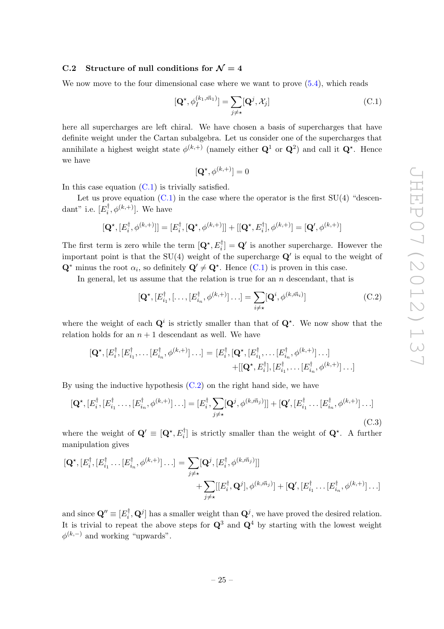#### <span id="page-26-0"></span>C.2 Structure of null conditions for  $\mathcal{N}=4$

We now move to the four dimensional case where we want to prove  $(5.4)$ , which reads

<span id="page-26-1"></span>
$$
[\mathbf{Q}^{\star}, \phi_I^{(k_1, \vec{m}_1)}] = \sum_{j \neq \star} [\mathbf{Q}^j, \mathcal{X}_j]
$$
(C.1)

here all supercharges are left chiral. We have chosen a basis of supercharges that have definite weight under the Cartan subalgebra. Let us consider one of the supercharges that annihilate a highest weight state  $\phi^{(k,+)}$  (namely either  $\mathbf{Q}^1$  or  $\mathbf{Q}^2$ ) and call it  $\mathbf{Q}^{\star}$ . Hence we have

$$
[\mathbf{Q}^\star, \phi^{(k, +)}] = 0
$$

In this case equation  $(C.1)$  is trivially satisfied.

Let us prove equation  $(C.1)$  in the case where the operator is the first  $SU(4)$  "descendant" i.e.  $[E_i^{\dagger}, \phi^{(k,+)}]$ . We have

$$
[\mathbf{Q}^{\star}, [E_i^{\dagger}, \phi^{(k, +)}]] = [E_i^{\dagger}, [\mathbf{Q}^{\star}, \phi^{(k, +)}]] + [[\mathbf{Q}^{\star}, E_i^{\dagger}], \phi^{(k, +)}] = [\mathbf{Q}', \phi^{(k, +)}]
$$

The first term is zero while the term  $[{\bf Q}^*, E_i^{\dagger}] = {\bf Q}'$  is another supercharge. However the important point is that the SU(4) weight of the supercharge  $\mathbf{Q}'$  is equal to the weight of  $\mathbf{Q}^*$  minus the root  $\alpha_i$ , so definitely  $\mathbf{Q}' \neq \mathbf{Q}^*$ . Hence [\(C.1\)](#page-26-1) is proven in this case.

In general, let us assume that the relation is true for an  $n$  descendant, that is

<span id="page-26-2"></span>
$$
[\mathbf{Q}^\star, [E_{i_1}^\dagger, [\dots, [E_{i_n}^\dagger, \phi^{(k, +)}] \dots] = \sum_{i \neq \star} [\mathbf{Q}^i, \phi^{(k, \vec{m}_i)}]
$$
(C.2)

where the weight of each  $\mathbf{Q}^i$  is strictly smaller than that of  $\mathbf{Q}^*$ . We now show that the relation holds for an  $n + 1$  descendant as well. We have

$$
[\mathbf{Q}^{\star}, [E_i^{\dagger}, [E_{i_1}^{\dagger}, \dots [E_{i_n}^{\dagger}, \phi^{(k,+)}] \dots] = [E_i^{\dagger}, [\mathbf{Q}^{\star}, [E_{i_1}^{\dagger}, \dots [E_{i_n}^{\dagger}, \phi^{(k,+)}] \dots] + [[\mathbf{Q}^{\star}, E_i^{\dagger}], [E_{i_1}^{\dagger}, \dots [E_{i_n}^{\dagger}, \phi^{(k,+)}] \dots]
$$

By using the inductive hypothesis  $(C.2)$  on the right hand side, we have

$$
[\mathbf{Q}^\star, [E_i^\dagger, [E_{i_1}^\dagger, \dots, [E_{i_n}^\dagger, \phi^{(k,+)}] \dots] = [E_i^\dagger, \sum_{j \neq \star} [\mathbf{Q}^j, \phi^{(k,\vec{m}_j)}]] + [\mathbf{Q}', [E_{i_1}^\dagger, \dots [E_{i_n}^\dagger, \phi^{(k,+)}] \dots]
$$
\n(C.3)

where the weight of  $\mathbf{Q}' \equiv [\mathbf{Q}^*, E_i^{\dagger}]$  is strictly smaller than the weight of  $\mathbf{Q}^*$ . A further manipulation gives

$$
\begin{aligned} [\mathbf{Q}^{\star}, [E_i^{\dagger}, [E_{i_1}^{\dagger} \dots [E_{i_n}^{\dagger}, \phi^{(k,+)}] \dots] &= \sum_{j \neq \star} [\mathbf{Q}^j, [E_i^{\dagger}, \phi^{(k, \vec{m}_j)}]] \\ &+ \sum_{j \neq \star} [[E_i^{\dagger}, \mathbf{Q}^j], \phi^{(k, \vec{m}_j)}] + [\mathbf{Q}', [E_{i_1}^{\dagger} \dots [E_{i_n}^{\dagger}, \phi^{(k,+)}] \dots] \end{aligned}
$$

and since  $\mathbf{Q}'' \equiv [E_i^{\dagger}, \mathbf{Q}^j]$  has a smaller weight than  $\mathbf{Q}^j$ , we have proved the desired relation. It is trivial to repeat the above steps for  $\mathbf{Q}^3$  and  $\mathbf{Q}^4$  by starting with the lowest weight  $\phi^{(k,-)}$  and working "upwards".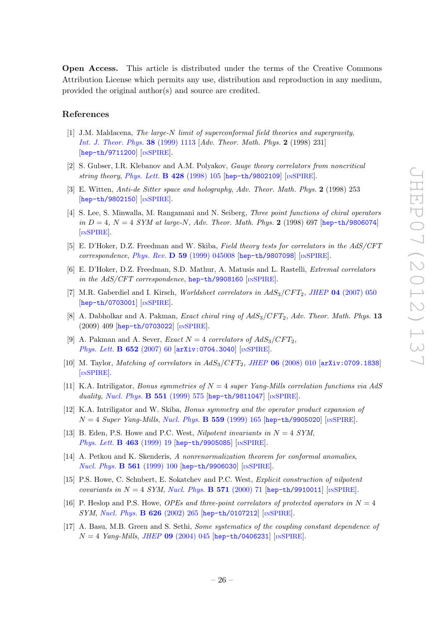Open Access. This article is distributed under the terms of the Creative Commons Attribution License which permits any use, distribution and reproduction in any medium, provided the original author(s) and source are credited.

#### References

- <span id="page-27-0"></span>[1] J.M. Maldacena, The large-N limit of superconformal field theories and supergravity, [Int. J. Theor. Phys.](http://dx.doi.org/10.1023/A:1026654312961) 38 (1999) 1113 [Adv. Theor. Math. Phys. 2 (1998) 231] [[hep-th/9711200](http://arxiv.org/abs/hep-th/9711200)] [IN[SPIRE](http://inspirehep.net/search?p=find+EPRINT+hep-th/9711200)].
- [2] S. Gubser, I.R. Klebanov and A.M. Polyakov, Gauge theory correlators from noncritical string theory, [Phys. Lett.](http://dx.doi.org/10.1016/S0370-2693(98)00377-3)  $\bf{B}$  428 (1998) 105 [[hep-th/9802109](http://arxiv.org/abs/hep-th/9802109)] [IN[SPIRE](http://inspirehep.net/search?p=find+EPRINT+hep-th/9802109)].
- <span id="page-27-1"></span>[3] E. Witten, Anti-de Sitter space and holography, Adv. Theor. Math. Phys. 2 (1998) 253 [[hep-th/9802150](http://arxiv.org/abs/hep-th/9802150)] [IN[SPIRE](http://inspirehep.net/search?p=find+EPRINT+hep-th/9802150)].
- <span id="page-27-2"></span>[4] S. Lee, S. Minwalla, M. Rangamani and N. Seiberg, Three point functions of chiral operators in  $D = 4$ ,  $N = 4$  SYM at large-N, Adv. Theor. Math. Phys. 2 (1998) 697 [[hep-th/9806074](http://arxiv.org/abs/hep-th/9806074)] [IN[SPIRE](http://inspirehep.net/search?p=find+EPRINT+hep-th/9806074)].
- [5] E. D'Hoker, D.Z. Freedman and W. Skiba, Field theory tests for correlators in the AdS/CFT correspondence, Phys. Rev. D 59 [\(1999\) 045008](http://dx.doi.org/10.1103/PhysRevD.59.045008) [[hep-th/9807098](http://arxiv.org/abs/hep-th/9807098)] [IN[SPIRE](http://inspirehep.net/search?p=find+EPRINT+hep-th/9807098)].
- <span id="page-27-3"></span>[6] E. D'Hoker, D.Z. Freedman, S.D. Mathur, A. Matusis and L. Rastelli, Extremal correlators in the AdS/CFT correspondence, [hep-th/9908160](http://arxiv.org/abs/hep-th/9908160) [IN[SPIRE](http://inspirehep.net/search?p=find+EPRINT+hep-th/9908160)].
- <span id="page-27-4"></span>[7] M.R. Gaberdiel and I. Kirsch, *Worldsheet correlators in*  $AdS_3/CFT_2$ *, JHEP* 04 [\(2007\) 050](http://dx.doi.org/10.1088/1126-6708/2007/04/050) [[hep-th/0703001](http://arxiv.org/abs/hep-th/0703001)] [IN[SPIRE](http://inspirehep.net/search?p=find+EPRINT+hep-th/0703001)].
- [8] A. Dabholkar and A. Pakman, *Exact chiral ring of*  $AdS_3/CFT_2$ *, Adv. Theor. Math. Phys.* 13 (2009) 409 [[hep-th/0703022](http://arxiv.org/abs/hep-th/0703022)] [IN[SPIRE](http://inspirehep.net/search?p=find+EPRINT+hep-th/0703022)].
- [9] A. Pakman and A. Sever, *Exact*  $N = 4$  correlators of  $AdS_3/CFT_2$ , [Phys. Lett.](http://dx.doi.org/10.1016/j.physletb.2007.06.041) **B 652** (2007) 60 [[arXiv:0704.3040](http://arxiv.org/abs/0704.3040)] [IN[SPIRE](http://inspirehep.net/search?p=find+EPRINT+arXiv:0704.3040)].
- <span id="page-27-5"></span>[10] M. Taylor, *Matching of correlators in AdS<sub>3</sub>/CFT*<sub>2</sub>, *JHEP* 06 [\(2008\) 010](http://dx.doi.org/10.1088/1126-6708/2008/06/010) [[arXiv:0709.1838](http://arxiv.org/abs/0709.1838)] [IN[SPIRE](http://inspirehep.net/search?p=find+EPRINT+arXiv:0709.1838)].
- <span id="page-27-6"></span>[11] K.A. Intriligator, *Bonus symmetries of*  $N = 4$  super Yang-Mills correlation functions via AdS duality, [Nucl. Phys.](http://dx.doi.org/10.1016/S0550-3213(99)00242-4) **B 551** (1999) 575 [[hep-th/9811047](http://arxiv.org/abs/hep-th/9811047)] [IN[SPIRE](http://inspirehep.net/search?p=find+EPRINT+hep-th/9811047)].
- [12] K.A. Intriligator and W. Skiba, Bonus symmetry and the operator product expansion of  $N = 4$  Super Yang-Mills, [Nucl. Phys.](http://dx.doi.org/10.1016/S0550-3213(99)00430-7) **B** 559 (1999) 165 [[hep-th/9905020](http://arxiv.org/abs/hep-th/9905020)] [IN[SPIRE](http://inspirehep.net/search?p=find+EPRINT+hep-th/9905020)].
- [13] B. Eden, P.S. Howe and P.C. West, Nilpotent invariants in  $N = 4$  SYM, [Phys. Lett.](http://dx.doi.org/10.1016/S0370-2693(99)00705-4) **B 463** (1999) 19 [[hep-th/9905085](http://arxiv.org/abs/hep-th/9905085)] [IN[SPIRE](http://inspirehep.net/search?p=find+EPRINT+hep-th/9905085)].
- [14] A. Petkou and K. Skenderis, A nonrenormalization theorem for conformal anomalies, [Nucl. Phys.](http://dx.doi.org/10.1016/S0550-3213(99)00514-3) B 561 (1999) 100 [[hep-th/9906030](http://arxiv.org/abs/hep-th/9906030)] [IN[SPIRE](http://inspirehep.net/search?p=find+EPRINT+hep-th/9906030)].
- [15] P.S. Howe, C. Schubert, E. Sokatchev and P.C. West, Explicit construction of nilpotent covariants in  $N = 4$  SYM, [Nucl. Phys.](http://dx.doi.org/10.1016/S0550-3213(99)00768-3) B 571 (2000) 71 [[hep-th/9910011](http://arxiv.org/abs/hep-th/9910011)] [IN[SPIRE](http://inspirehep.net/search?p=find+EPRINT+hep-th/9910011)].
- <span id="page-27-7"></span>[16] P. Heslop and P.S. Howe, *OPEs and three-point correlators of protected operators in*  $N = 4$ SYM, [Nucl. Phys.](http://dx.doi.org/10.1016/S0550-3213(02)00023-8) B 626 (2002) 265 [[hep-th/0107212](http://arxiv.org/abs/hep-th/0107212)] [IN[SPIRE](http://inspirehep.net/search?p=find+EPRINT+hep-th/0107212)].
- <span id="page-27-8"></span>[17] A. Basu, M.B. Green and S. Sethi, Some systematics of the coupling constant dependence of  $N = 4$  Yang-Mills, JHEP 09 [\(2004\) 045](http://dx.doi.org/10.1088/1126-6708/2004/09/045) [[hep-th/0406231](http://arxiv.org/abs/hep-th/0406231)] [IN[SPIRE](http://inspirehep.net/search?p=find+EPRINT+hep-th/0406231)].